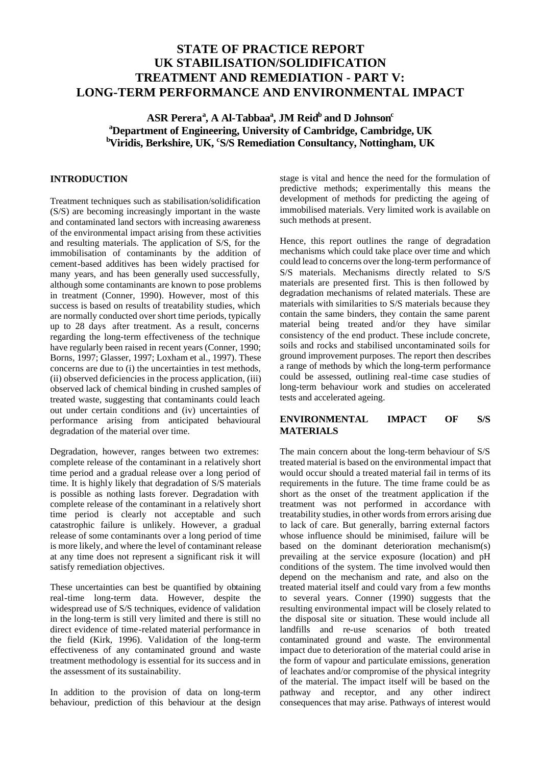# **STATE OF PRACTICE REPORT UK STABILISATION/SOLIDIFICATION TREATMENT AND REMEDIATION - PART V: LONG-TERM PERFORMANCE AND ENVIRONMENTAL IMPACT**

**ASR Perera<sup>a</sup> , A Al-Tabbaa<sup>a</sup> , JM Reid<sup>b</sup> and D Johnson<sup>c</sup> <sup>a</sup>Department of Engineering, University of Cambridge, Cambridge, UK <sup>b</sup>Viridis, Berkshire, UK, <sup>c</sup> S/S Remediation Consultancy, Nottingham, UK**

# **INTRODUCTION**

Treatment techniques such as stabilisation/solidification (S/S) are becoming increasingly important in the waste and contaminated land sectors with increasing awareness of the environmental impact arising from these activities and resulting materials. The application of S/S, for the immobilisation of contaminants by the addition of cement-based additives has been widely practised for many years, and has been generally used successfully, although some contaminants are known to pose problems in treatment (Conner, 1990). However, most of this success is based on results of treatability studies, which are normally conducted over short time periods, typically up to 28 days after treatment. As a result, concerns regarding the long-term effectiveness of the technique have regularly been raised in recent years (Conner, 1990; Borns, 1997; Glasser, 1997; Loxham et al., 1997). These concerns are due to (i) the uncertainties in test methods, (ii) observed deficiencies in the process application, (iii) observed lack of chemical binding in crushed samples of treated waste, suggesting that contaminants could leach out under certain conditions and (iv) uncertainties of performance arising from anticipated behavioural degradation of the material over time.

Degradation, however, ranges between two extremes: complete release of the contaminant in a relatively short time period and a gradual release over a long period of time. It is highly likely that degradation of S/S materials is possible as nothing lasts forever. Degradation with complete release of the contaminant in a relatively short time period is clearly not acceptable and such catastrophic failure is unlikely. However, a gradual release of some contaminants over a long period of time is more likely, and where the level of contaminant release at any time does not represent a significant risk it will satisfy remediation objectives.

These uncertainties can best be quantified by obtaining real-time long-term data. However, despite the widespread use of S/S techniques, evidence of validation in the long-term is still very limited and there is still no direct evidence of time-related material performance in the field (Kirk, 1996). Validation of the long-term effectiveness of any contaminated ground and waste treatment methodology is essential for its success and in the assessment of its sustainability.

In addition to the provision of data on long-term behaviour, prediction of this behaviour at the design stage is vital and hence the need for the formulation of predictive methods; experimentally this means the development of methods for predicting the ageing of immobilised materials. Very limited work is available on such methods at present.

Hence, this report outlines the range of degradation mechanisms which could take place over time and which could lead to concerns over the long-term performance of S/S materials. Mechanisms directly related to S/S materials are presented first. This is then followed by degradation mechanisms of related materials. These are materials with similarities to S/S materials because they contain the same binders, they contain the same parent material being treated and/or they have similar consistency of the end product. These include concrete, soils and rocks and stabilised uncontaminated soils for ground improvement purposes. The report then describes a range of methods by which the long-term performance could be assessed, outlining real-time case studies of long-term behaviour work and studies on accelerated tests and accelerated ageing.

# **ENVIRONMENTAL IMPACT OF S/S MATERIALS**

The main concern about the long-term behaviour of S/S treated material is based on the environmental impact that would occur should a treated material fail in terms of its requirements in the future. The time frame could be as short as the onset of the treatment application if the treatment was not performed in accordance with treatability studies, in other words from errors arising due to lack of care. But generally, barring external factors whose influence should be minimised, failure will be based on the dominant deterioration mechanism(s) prevailing at the service exposure (location) and pH conditions of the system. The time involved would then depend on the mechanism and rate, and also on the treated material itself and could vary from a few months to several years. Conner (1990) suggests that the resulting environmental impact will be closely related to the disposal site or situation. These would include all landfills and re-use scenarios of both treated contaminated ground and waste. The environmental impact due to deterioration of the material could arise in the form of vapour and particulate emissions, generation of leachates and/or compromise of the physical integrity of the material. The impact itself will be based on the pathway and receptor, and any other indirect consequences that may arise. Pathways of interest would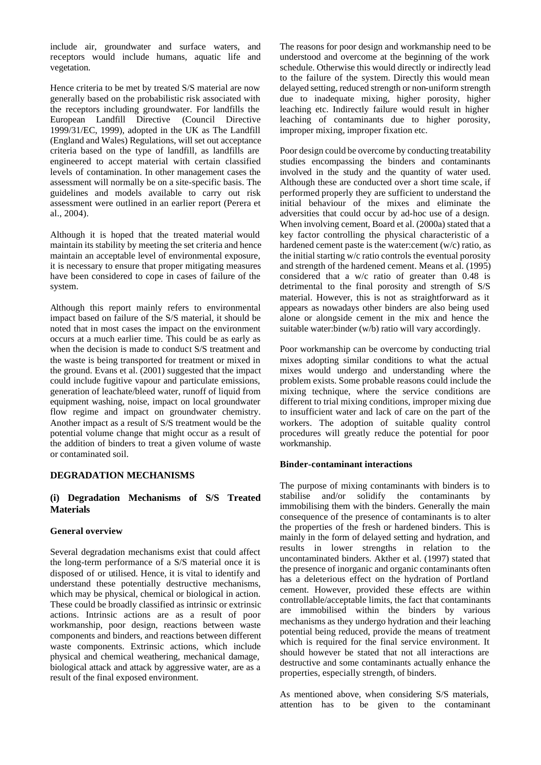include air, groundwater and surface waters, and receptors would include humans, aquatic life and vegetation.

Hence criteria to be met by treated S/S material are now generally based on the probabilistic risk associated with the receptors including groundwater. For landfills the European Landfill Directive (Council Directive 1999/31/EC, 1999), adopted in the UK as The Landfill (England and Wales) Regulations, will set out acceptance criteria based on the type of landfill, as landfills are engineered to accept material with certain classified levels of contamination. In other management cases the assessment will normally be on a site-specific basis. The guidelines and models available to carry out risk assessment were outlined in an earlier report (Perera et al., 2004).

Although it is hoped that the treated material would maintain its stability by meeting the set criteria and hence maintain an acceptable level of environmental exposure, it is necessary to ensure that proper mitigating measures have been considered to cope in cases of failure of the system.

Although this report mainly refers to environmental impact based on failure of the S/S material, it should be noted that in most cases the impact on the environment occurs at a much earlier time. This could be as early as when the decision is made to conduct S/S treatment and the waste is being transported for treatment or mixed in the ground. Evans et al. (2001) suggested that the impact could include fugitive vapour and particulate emissions, generation of leachate/bleed water, runoff of liquid from equipment washing, noise, impact on local groundwater flow regime and impact on groundwater chemistry. Another impact as a result of S/S treatment would be the potential volume change that might occur as a result of the addition of binders to treat a given volume of waste or contaminated soil.

# **DEGRADATION MECHANISMS**

# **(i) Degradation Mechanisms of S/S Treated Materials**

# **General overview**

Several degradation mechanisms exist that could affect the long-term performance of a S/S material once it is disposed of or utilised. Hence, it is vital to identify and understand these potentially destructive mechanisms, which may be physical, chemical or biological in action. These could be broadly classified as intrinsic or extrinsic actions. Intrinsic actions are as a result of poor workmanship, poor design, reactions between waste components and binders, and reactions between different waste components. Extrinsic actions, which include physical and chemical weathering, mechanical damage, biological attack and attack by aggressive water, are as a result of the final exposed environment.

The reasons for poor design and workmanship need to be understood and overcome at the beginning of the work schedule. Otherwise this would directly or indirectly lead to the failure of the system. Directly this would mean delayed setting, reduced strength or non-uniform strength due to inadequate mixing, higher porosity, higher leaching etc. Indirectly failure would result in higher leaching of contaminants due to higher porosity, improper mixing, improper fixation etc.

Poor design could be overcome by conducting treatability studies encompassing the binders and contaminants involved in the study and the quantity of water used. Although these are conducted over a short time scale, if performed properly they are sufficient to understand the initial behaviour of the mixes and eliminate the adversities that could occur by ad-hoc use of a design. When involving cement, Board et al. (2000a) stated that a key factor controlling the physical characteristic of a hardened cement paste is the water:cement (w/c) ratio, as the initial starting w/c ratio controls the eventual porosity and strength of the hardened cement. Means et al. (1995) considered that a w/c ratio of greater than 0.48 is detrimental to the final porosity and strength of S/S material. However, this is not as straightforward as it appears as nowadays other binders are also being used alone or alongside cement in the mix and hence the suitable water:binder (w/b) ratio will vary accordingly.

Poor workmanship can be overcome by conducting trial mixes adopting similar conditions to what the actual mixes would undergo and understanding where the problem exists. Some probable reasons could include the mixing technique, where the service conditions are different to trial mixing conditions, improper mixing due to insufficient water and lack of care on the part of the workers. The adoption of suitable quality control procedures will greatly reduce the potential for poor workmanship.

## **Binder-contaminant interactions**

The purpose of mixing contaminants with binders is to stabilise and/or solidify the contaminants by immobilising them with the binders. Generally the main consequence of the presence of contaminants is to alter the properties of the fresh or hardened binders. This is mainly in the form of delayed setting and hydration, and results in lower strengths in relation to the uncontaminated binders. Akther et al. (1997) stated that the presence of inorganic and organic contaminants often has a deleterious effect on the hydration of Portland cement. However, provided these effects are within controllable/acceptable limits, the fact that contaminants are immobilised within the binders by various mechanisms as they undergo hydration and their leaching potential being reduced, provide the means of treatment which is required for the final service environment. It should however be stated that not all interactions are destructive and some contaminants actually enhance the properties, especially strength, of binders.

As mentioned above, when considering S/S materials, attention has to be given to the contaminant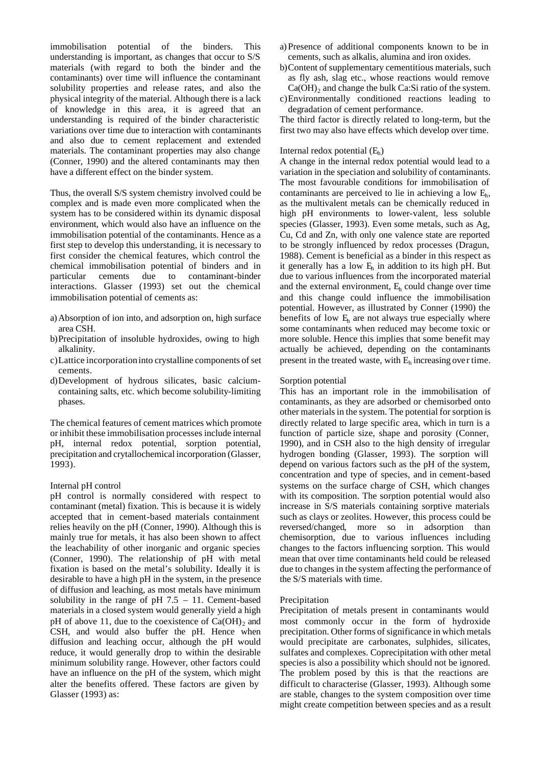immobilisation potential of the binders. This understanding is important, as changes that occur to S/S materials (with regard to both the binder and the contaminants) over time will influence the contaminant solubility properties and release rates, and also the physical integrity of the material. Although there is a lack of knowledge in this area, it is agreed that an understanding is required of the binder characteristic variations over time due to interaction with contaminants and also due to cement replacement and extended materials. The contaminant properties may also change (Conner, 1990) and the altered contaminants may then have a different effect on the binder system.

Thus, the overall S/S system chemistry involved could be complex and is made even more complicated when the system has to be considered within its dynamic disposal environment, which would also have an influence on the immobilisation potential of the contaminants. Hence as a first step to develop this understanding, it is necessary to first consider the chemical features, which control the chemical immobilisation potential of binders and in particular cements due to contaminant-binder interactions. Glasser (1993) set out the chemical immobilisation potential of cements as:

- a)Absorption of ion into, and adsorption on, high surface area CSH.
- b)Precipitation of insoluble hydroxides, owing to high alkalinity.
- c)Lattice incorporation into crystalline components of set cements.
- d)Development of hydrous silicates, basic calciumcontaining salts, etc. which become solubility-limiting phases.

The chemical features of cement matrices which promote or inhibit these immobilisation processes include internal pH, internal redox potential, sorption potential, precipitation and crytallochemical incorporation (Glasser, 1993).

#### Internal pH control

pH control is normally considered with respect to contaminant (metal) fixation. This is because it is widely accepted that in cement-based materials containment relies heavily on the pH (Conner, 1990). Although this is mainly true for metals, it has also been shown to affect the leachability of other inorganic and organic species (Conner, 1990). The relationship of pH with metal fixation is based on the metal's solubility. Ideally it is desirable to have a high pH in the system, in the presence of diffusion and leaching, as most metals have minimum solubility in the range of  $pH 7.5 - 11$ . Cement-based materials in a closed system would generally yield a high pH of above 11, due to the coexistence of  $Ca(OH)_2$  and CSH, and would also buffer the pH. Hence when diffusion and leaching occur, although the pH would reduce, it would generally drop to within the desirable minimum solubility range. However, other factors could have an influence on the pH of the system, which might alter the benefits offered. These factors are given by Glasser (1993) as:

- a) Presence of additional components known to be in cements, such as alkalis, alumina and iron oxides.
- b)Content of supplementary cementitious materials, such as fly ash, slag etc., whose reactions would remove  $Ca(OH)_2$  and change the bulk Ca:Si ratio of the system.
- c)Environmentally conditioned reactions leading to degradation of cement performance.

The third factor is directly related to long-term, but the first two may also have effects which develop over time.

# Internal redox potential (E<sup>h</sup> )

A change in the internal redox potential would lead to a variation in the speciation and solubility of contaminants. The most favourable conditions for immobilisation of contaminants are perceived to lie in achieving a low  $E<sub>h</sub>$ , as the multivalent metals can be chemically reduced in high pH environments to lower-valent, less soluble species (Glasser, 1993). Even some metals, such as Ag, Cu, Cd and Zn, with only one valence state are reported to be strongly influenced by redox processes (Dragun, 1988). Cement is beneficial as a binder in this respect as it generally has a low  $E<sub>h</sub>$  in addition to its high pH. But due to various influences from the incorporated material and the external environment,  $E_h$  could change over time and this change could influence the immobilisation potential. However, as illustrated by Conner (1990) the benefits of low  $E<sub>h</sub>$  are not always true especially where some contaminants when reduced may become toxic or more soluble. Hence this implies that some benefit may actually be achieved, depending on the contaminants present in the treated waste, with  $E_h$  increasing over time.

#### Sorption potential

This has an important role in the immobilisation of contaminants, as they are adsorbed or chemisorbed onto other materials in the system. The potential for sorption is directly related to large specific area, which in turn is a function of particle size, shape and porosity (Conner, 1990), and in CSH also to the high density of irregular hydrogen bonding (Glasser, 1993). The sorption will depend on various factors such as the pH of the system, concentration and type of species, and in cement-based systems on the surface charge of CSH, which changes with its composition. The sorption potential would also increase in S/S materials containing sorptive materials such as clays or zeolites. However, this process could be reversed/changed, more so in adsorption than chemisorption, due to various influences including changes to the factors influencing sorption. This would mean that over time contaminants held could be released due to changes in the system affecting the performance of the S/S materials with time.

#### Precipitation

Precipitation of metals present in contaminants would most commonly occur in the form of hydroxide precipitation. Other forms of significance in which metals would precipitate are carbonates, sulphides, silicates, sulfates and complexes. Coprecipitation with other metal species is also a possibility which should not be ignored. The problem posed by this is that the reactions are difficult to characterise (Glasser, 1993). Although some are stable, changes to the system composition over time might create competition between species and as a result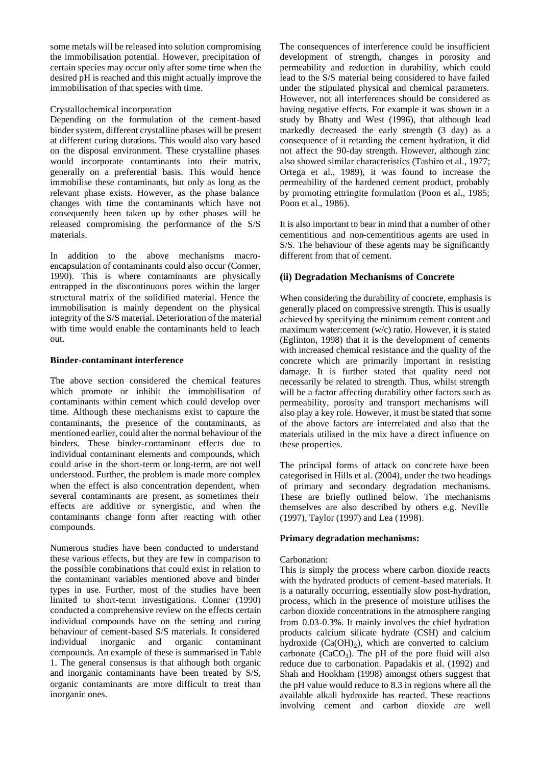some metals will be released into solution compromising the immobilisation potential. However, precipitation of certain species may occur only after some time when the desired pH is reached and this might actually improve the immobilisation of that species with time.

# Crystallochemical incorporation

Depending on the formulation of the cement-based binder system, different crystalline phases will be present at different curing durations. This would also vary based on the disposal environment. These crystalline phases would incorporate contaminants into their matrix, generally on a preferential basis. This would hence immobilise these contaminants, but only as long as the relevant phase exists. However, as the phase balance changes with time the contaminants which have not consequently been taken up by other phases will be released compromising the performance of the S/S materials.

In addition to the above mechanisms macroencapsulation of contaminants could also occur (Conner, 1990). This is where contaminants are physically entrapped in the discontinuous pores within the larger structural matrix of the solidified material. Hence the immobilisation is mainly dependent on the physical integrity of the S/S material. Deterioration of the material with time would enable the contaminants held to leach out.

## **Binder-contaminant interference**

The above section considered the chemical features which promote or inhibit the immobilisation of contaminants within cement which could develop over time. Although these mechanisms exist to capture the contaminants, the presence of the contaminants, as mentioned earlier, could alter the normal behaviour of the binders. These binder-contaminant effects due to individual contaminant elements and compounds, which could arise in the short-term or long-term, are not well understood. Further, the problem is made more complex when the effect is also concentration dependent, when several contaminants are present, as sometimes their effects are additive or synergistic, and when the contaminants change form after reacting with other compounds.

Numerous studies have been conducted to understand these various effects, but they are few in comparison to the possible combinations that could exist in relation to the contaminant variables mentioned above and binder types in use. Further, most of the studies have been limited to short-term investigations. Conner (1990) conducted a comprehensive review on the effects certain individual compounds have on the setting and curing behaviour of cement-based S/S materials. It considered individual inorganic and organic contaminant compounds. An example of these is summarised in Table 1. The general consensus is that although both organic and inorganic contaminants have been treated by S/S, organic contaminants are more difficult to treat than inorganic ones.

The consequences of interference could be insufficient development of strength, changes in porosity and permeability and reduction in durability, which could lead to the S/S material being considered to have failed under the stipulated physical and chemical parameters. However, not all interferences should be considered as having negative effects. For example it was shown in a study by Bhatty and West (1996), that although lead markedly decreased the early strength (3 day) as a consequence of it retarding the cement hydration, it did not affect the 90-day strength. However, although zinc also showed similar characteristics (Tashiro et al., 1977; Ortega et al., 1989), it was found to increase the permeability of the hardened cement product, probably by promoting ettringite formulation (Poon et al., 1985; Poon et al., 1986).

It is also important to bear in mind that a number of other cementitious and non-cementitious agents are used in S/S. The behaviour of these agents may be significantly different from that of cement.

# **(ii) Degradation Mechanisms of Concrete**

When considering the durability of concrete, emphasis is generally placed on compressive strength. This is usually achieved by specifying the minimum cement content and maximum water:cement (w/c) ratio. However, it is stated (Eglinton, 1998) that it is the development of cements with increased chemical resistance and the quality of the concrete which are primarily important in resisting damage. It is further stated that quality need not necessarily be related to strength. Thus, whilst strength will be a factor affecting durability other factors such as permeability, porosity and transport mechanisms will also play a key role. However, it must be stated that some of the above factors are interrelated and also that the materials utilised in the mix have a direct influence on these properties.

The principal forms of attack on concrete have been categorised in Hills et al. (2004), under the two headings of primary and secondary degradation mechanisms. These are briefly outlined below. The mechanisms themselves are also described by others e.g. Neville (1997), Taylor (1997) and Lea (1998).

### **Primary degradation mechanisms:**

# Carbonation:

This is simply the process where carbon dioxide reacts with the hydrated products of cement-based materials. It is a naturally occurring, essentially slow post-hydration, process, which in the presence of moisture utilises the carbon dioxide concentrations in the atmosphere ranging from 0.03-0.3%. It mainly involves the chief hydration products calcium silicate hydrate (CSH) and calcium hydroxide  $(Ca(OH)_2)$ , which are converted to calcium carbonate  $(CaCO<sub>3</sub>)$ . The pH of the pore fluid will also reduce due to carbonation. Papadakis et al. (1992) and Shah and Hookham (1998) amongst others suggest that the pH value would reduce to 8.3 in regions where all the available alkali hydroxide has reacted. These reactions involving cement and carbon dioxide are well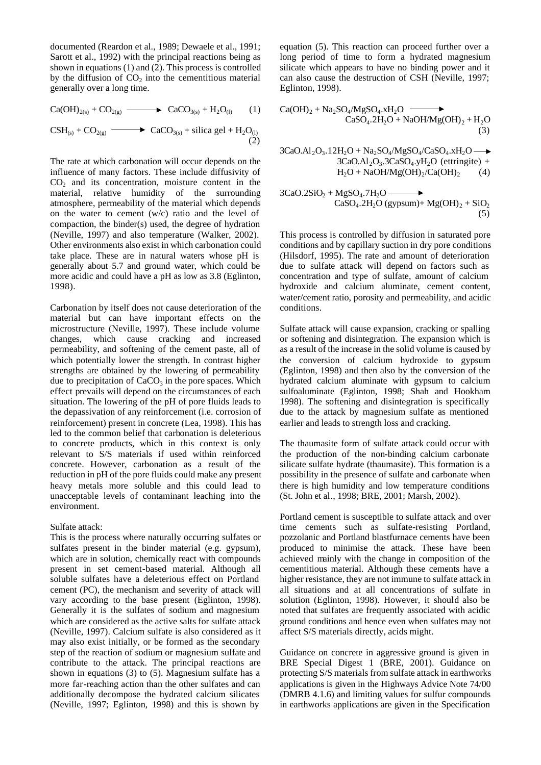documented (Reardon et al., 1989; Dewaele et al., 1991; Sarott et al., 1992) with the principal reactions being as shown in equations (1) and (2). This process is controlled by the diffusion of  $CO<sub>2</sub>$  into the cementitious material generally over a long time.

$$
\text{Ca(OH)}_{2(s)} + \text{CO}_{2(g)} \longrightarrow \text{CaCO}_{3(s)} + \text{H}_2\text{O}_{(1)} \tag{1}
$$

$$
CSH_{(s)} + CO_{2(g)} \longrightarrow CaCO_{3(s)} + silica gel + H_2O_{(1)} \tag{2}
$$

The rate at which carbonation will occur depends on the influence of many factors. These include diffusivity of  $CO<sub>2</sub>$  and its concentration, moisture content in the material, relative humidity of the surrounding atmosphere, permeability of the material which depends on the water to cement (w/c) ratio and the level of compaction, the binder(s) used, the degree of hydration (Neville, 1997) and also temperature (Walker, 2002). Other environments also exist in which carbonation could take place. These are in natural waters whose pH is generally about 5.7 and ground water, which could be more acidic and could have a pH as low as 3.8 (Eglinton, 1998).

Carbonation by itself does not cause deterioration of the material but can have important effects on the microstructure (Neville, 1997). These include volume changes, which cause cracking and increased permeability, and softening of the cement paste, all of which potentially lower the strength. In contrast higher strengths are obtained by the lowering of permeability due to precipitation of  $CaCO<sub>3</sub>$  in the pore spaces. Which effect prevails will depend on the circumstances of each situation. The lowering of the pH of pore fluids leads to the depassivation of any reinforcement (i.e. corrosion of reinforcement) present in concrete (Lea, 1998). This has led to the common belief that carbonation is deleterious to concrete products, which in this context is only relevant to S/S materials if used within reinforced concrete. However, carbonation as a result of the reduction in pH of the pore fluids could make any present heavy metals more soluble and this could lead to unacceptable levels of contaminant leaching into the environment.

### Sulfate attack:

This is the process where naturally occurring sulfates or sulfates present in the binder material (e.g. gypsum), which are in solution, chemically react with compounds present in set cement-based material. Although all soluble sulfates have a deleterious effect on Portland cement (PC), the mechanism and severity of attack will vary according to the base present (Eglinton, 1998). Generally it is the sulfates of sodium and magnesium which are considered as the active salts for sulfate attack (Neville, 1997). Calcium sulfate is also considered as it may also exist initially, or be formed as the secondary step of the reaction of sodium or magnesium sulfate and contribute to the attack. The principal reactions are shown in equations (3) to (5). Magnesium sulfate has a more far-reaching action than the other sulfates and can additionally decompose the hydrated calcium silicates (Neville, 1997; Eglinton, 1998) and this is shown by

equation (5). This reaction can proceed further over a long period of time to form a hydrated magnesium silicate which appears to have no binding power and it can also cause the destruction of CSH (Neville, 1997; Eglinton, 1998).

$$
Ca(OH)2 + Na2SO4/MgSO4.xH2O \longrightarrow CaSO4.2H2O + NaOH/Mg(OH)2 + H2O
$$
\n(3)

$$
3CaO.AI2O3.12H2O + Na2SO4/MgSO4/CaSO4.xH2O →
$$
  
\n
$$
3CaO.AI2O3.3CaSO4.yH2O (ettingite) +
$$
  
\n
$$
H2O + NaOH/Mg(OH)2/Ca(OH)2 (4)
$$

$$
3CaO.2SiO2 + MgSO4.7H2O \longrightarrow CaSO4.2H2O (gypsum) + Mg(OH)2 + SiO2
$$
\n(5)

This process is controlled by diffusion in saturated pore conditions and by capillary suction in dry pore conditions (Hilsdorf, 1995). The rate and amount of deterioration due to sulfate attack will depend on factors such as concentration and type of sulfate, amount of calcium hydroxide and calcium aluminate, cement content, water/cement ratio, porosity and permeability, and acidic conditions.

Sulfate attack will cause expansion, cracking or spalling or softening and disintegration. The expansion which is as a result of the increase in the solid volume is caused by the conversion of calcium hydroxide to gypsum (Eglinton, 1998) and then also by the conversion of the hydrated calcium aluminate with gypsum to calcium sulfoaluminate (Eglinton, 1998; Shah and Hookham 1998). The softening and disintegration is specifically due to the attack by magnesium sulfate as mentioned earlier and leads to strength loss and cracking.

The thaumasite form of sulfate attack could occur with the production of the non-binding calcium carbonate silicate sulfate hydrate (thaumasite). This formation is a possibility in the presence of sulfate and carbonate when there is high humidity and low temperature conditions (St. John et al., 1998; BRE, 2001; Marsh, 2002).

Portland cement is susceptible to sulfate attack and over time cements such as sulfate-resisting Portland, pozzolanic and Portland blastfurnace cements have been produced to minimise the attack. These have been achieved mainly with the change in composition of the cementitious material. Although these cements have a higher resistance, they are not immune to sulfate attack in all situations and at all concentrations of sulfate in solution (Eglinton, 1998). However, it should also be noted that sulfates are frequently associated with acidic ground conditions and hence even when sulfates may not affect S/S materials directly, acids might.

Guidance on concrete in aggressive ground is given in BRE Special Digest 1 (BRE, 2001). Guidance on protecting S/S materials from sulfate attack in earthworks applications is given in the Highways Advice Note 74/00 (DMRB 4.1.6) and limiting values for sulfur compounds in earthworks applications are given in the Specification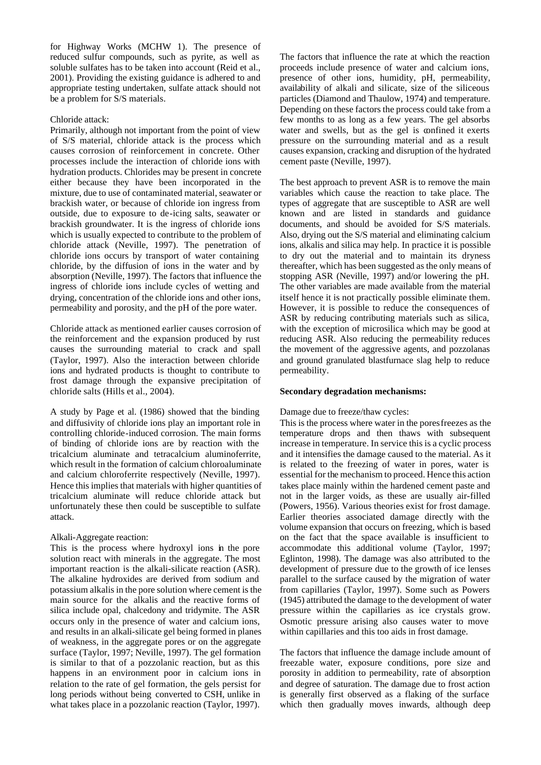for Highway Works (MCHW 1). The presence of reduced sulfur compounds, such as pyrite, as well as soluble sulfates has to be taken into account (Reid et al., 2001). Providing the existing guidance is adhered to and appropriate testing undertaken, sulfate attack should not be a problem for S/S materials.

# Chloride attack:

Primarily, although not important from the point of view of S/S material, chloride attack is the process which causes corrosion of reinforcement in concrete. Other processes include the interaction of chloride ions with hydration products. Chlorides may be present in concrete either because they have been incorporated in the mixture, due to use of contaminated material, seawater or brackish water, or because of chloride ion ingress from outside, due to exposure to de-icing salts, seawater or brackish groundwater. It is the ingress of chloride ions which is usually expected to contribute to the problem of chloride attack (Neville, 1997). The penetration of chloride ions occurs by transport of water containing chloride, by the diffusion of ions in the water and by absorption (Neville, 1997). The factors that influence the ingress of chloride ions include cycles of wetting and drying, concentration of the chloride ions and other ions, permeability and porosity, and the pH of the pore water.

Chloride attack as mentioned earlier causes corrosion of the reinforcement and the expansion produced by rust causes the surrounding material to crack and spall (Taylor, 1997). Also the interaction between chloride ions and hydrated products is thought to contribute to frost damage through the expansive precipitation of chloride salts (Hills et al., 2004).

A study by Page et al. (1986) showed that the binding and diffusivity of chloride ions play an important role in controlling chloride-induced corrosion. The main forms of binding of chloride ions are by reaction with the tricalcium aluminate and tetracalcium aluminoferrite, which result in the formation of calcium chloroaluminate and calcium chloroferrite respectively (Neville, 1997). Hence this implies that materials with higher quantities of tricalcium aluminate will reduce chloride attack but unfortunately these then could be susceptible to sulfate attack.

### Alkali-Aggregate reaction:

This is the process where hydroxyl ions in the pore solution react with minerals in the aggregate. The most important reaction is the alkali-silicate reaction (ASR). The alkaline hydroxides are derived from sodium and potassium alkalis in the pore solution where cement is the main source for the alkalis and the reactive forms of silica include opal, chalcedony and tridymite. The ASR occurs only in the presence of water and calcium ions, and results in an alkali-silicate gel being formed in planes of weakness, in the aggregate pores or on the aggregate surface (Taylor, 1997; Neville, 1997). The gel formation is similar to that of a pozzolanic reaction, but as this happens in an environment poor in calcium ions in relation to the rate of gel formation, the gels persist for long periods without being converted to CSH, unlike in what takes place in a pozzolanic reaction (Taylor, 1997).

The factors that influence the rate at which the reaction proceeds include presence of water and calcium ions, presence of other ions, humidity, pH, permeability, availability of alkali and silicate, size of the siliceous particles (Diamond and Thaulow, 1974) and temperature. Depending on these factors the process could take from a few months to as long as a few years. The gel absorbs water and swells, but as the gel is confined it exerts pressure on the surrounding material and as a result causes expansion, cracking and disruption of the hydrated cement paste (Neville, 1997).

The best approach to prevent ASR is to remove the main variables which cause the reaction to take place. The types of aggregate that are susceptible to ASR are well known and are listed in standards and guidance documents, and should be avoided for S/S materials. Also, drying out the S/S material and eliminating calcium ions, alkalis and silica may help. In practice it is possible to dry out the material and to maintain its dryness thereafter, which has been suggested as the only means of stopping ASR (Neville, 1997) and/or lowering the pH. The other variables are made available from the material itself hence it is not practically possible eliminate them. However, it is possible to reduce the consequences of ASR by reducing contributing materials such as silica, with the exception of microsilica which may be good at reducing ASR. Also reducing the permeability reduces the movement of the aggressive agents, and pozzolanas and ground granulated blastfurnace slag help to reduce permeability.

## **Secondary degradation mechanisms:**

### Damage due to freeze/thaw cycles:

This is the process where water in the pores freezes as the temperature drops and then thaws with subsequent increase in temperature. In service this is a cyclic process and it intensifies the damage caused to the material. As it is related to the freezing of water in pores, water is essential for the mechanism to proceed. Hence this action takes place mainly within the hardened cement paste and not in the larger voids, as these are usually air-filled (Powers, 1956). Various theories exist for frost damage. Earlier theories associated damage directly with the volume expansion that occurs on freezing, which is based on the fact that the space available is insufficient to accommodate this additional volume (Taylor, 1997; Eglinton, 1998). The damage was also attributed to the development of pressure due to the growth of ice lenses parallel to the surface caused by the migration of water from capillaries (Taylor, 1997). Some such as Powers (1945) attributed the damage to the development of water pressure within the capillaries as ice crystals grow. Osmotic pressure arising also causes water to move within capillaries and this too aids in frost damage.

The factors that influence the damage include amount of freezable water, exposure conditions, pore size and porosity in addition to permeability, rate of absorption and degree of saturation. The damage due to frost action is generally first observed as a flaking of the surface which then gradually moves inwards, although deep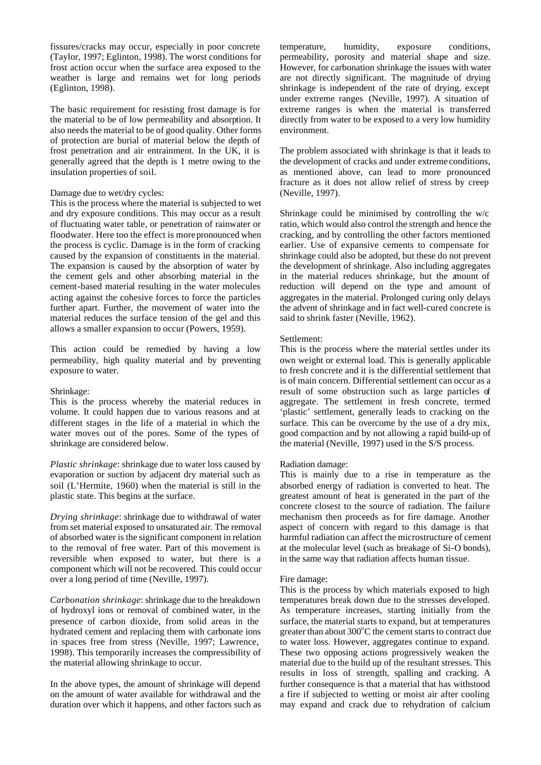fissures/cracks may occur, especially in poor concrete (Taylor, 1997; Eglinton, 1998). The worst conditions for frost action occur when the surface area exposed to the weather is large and remains wet for long periods (Eglinton, 1998).

The basic requirement for resisting frost damage is for the material to be of low permeability and absorption. It also needs the material to be of good quality. Other forms of protection are burial of material below the depth of frost penetration and air entrainment. In the UK, it is generally agreed that the depth is 1 metre owing to the insulation properties of soil.

## Damage due to wet/dry cycles:

This is the process where the material is subjected to wet and dry exposure conditions. This may occur as a result of fluctuating water table, or penetration of rainwater or floodwater. Here too the effect is more pronounced when the process is cyclic. Damage is in the form of cracking caused by the expansion of constituents in the material. The expansion is caused by the absorption of water by the cement gels and other absorbing material in the cement-based material resulting in the water molecules acting against the cohesive forces to force the particles further apart. Further, the movement of water into the material reduces the surface tension of the gel and this allows a smaller expansion to occur (Powers, 1959).

This action could be remedied by having a low permeability, high quality material and by preventing exposure to water.

### Shrinkage:

This is the process whereby the material reduces in volume. It could happen due to various reasons and at different stages in the life of a material in which the water moves out of the pores. Some of the types of shrinkage are considered below.

*Plastic shrinkage*: shrinkage due to water loss caused by evaporation or suction by adjacent dry material such as soil (L'Hermite, 1960) when the material is still in the plastic state. This begins at the surface.

*Drying shrinkage*: shrinkage due to withdrawal of water from set material exposed to unsaturated air. The removal of absorbed water is the significant component in relation to the removal of free water. Part of this movement is reversible when exposed to water, but there is a component which will not be recovered. This could occur over a long period of time (Neville, 1997).

*Carbonation shrinkage*: shrinkage due to the breakdown of hydroxyl ions or removal of combined water, in the presence of carbon dioxide, from solid areas in the hydrated cement and replacing them with carbonate ions in spaces free from stress (Neville, 1997; Lawrence, 1998). This temporarily increases the compressibility of the material allowing shrinkage to occur.

In the above types, the amount of shrinkage will depend on the amount of water available for withdrawal and the duration over which it happens, and other factors such as temperature, humidity, exposure conditions, permeability, porosity and material shape and size. However, for carbonation shrinkage the issues with water are not directly significant. The magnitude of drying shrinkage is independent of the rate of drying, except under extreme ranges (Neville, 1997). A situation of extreme ranges is when the material is transferred directly from water to be exposed to a very low humidity environment.

The problem associated with shrinkage is that it leads to the development of cracks and under extreme conditions, as mentioned above, can lead to more pronounced fracture as it does not allow relief of stress by creep (Neville, 1997).

Shrinkage could be minimised by controlling the w/c ratio, which would also control the strength and hence the cracking, and by controlling the other factors mentioned earlier. Use of expansive cements to compensate for shrinkage could also be adopted, but these do not prevent the development of shrinkage. Also including aggregates in the material reduces shrinkage, but the amount of reduction will depend on the type and amount of aggregates in the material. Prolonged curing only delays the advent of shrinkage and in fact well-cured concrete is said to shrink faster (Neville, 1962).

## Settlement:

This is the process where the material settles under its own weight or external load. This is generally applicable to fresh concrete and it is the differential settlement that is of main concern. Differential settlement can occur as a result of some obstruction such as large particles of aggregate. The settlement in fresh concrete, termed 'plastic' settlement, generally leads to cracking on the surface. This can be overcome by the use of a dry mix, good compaction and by not allowing a rapid build-up of the material (Neville, 1997) used in the S/S process.

### Radiation damage:

This is mainly due to a rise in temperature as the absorbed energy of radiation is converted to heat. The greatest amount of heat is generated in the part of the concrete closest to the source of radiation. The failure mechanism then proceeds as for fire damage. Another aspect of concern with regard to this damage is that harmful radiation can affect the microstructure of cement at the molecular level (such as breakage of Si-O bonds), in the same way that radiation affects human tissue.

### Fire damage:

This is the process by which materials exposed to high temperatures break down due to the stresses developed. As temperature increases, starting initially from the surface, the material starts to expand, but at temperatures greater than about  $300^{\circ}$ C the cement starts to contract due to water loss. However, aggregates continue to expand. These two opposing actions progressively weaken the material due to the build up of the resultant stresses. This results in loss of strength, spalling and cracking. A further consequence is that a material that has withstood a fire if subjected to wetting or moist air after cooling may expand and crack due to rehydration of calcium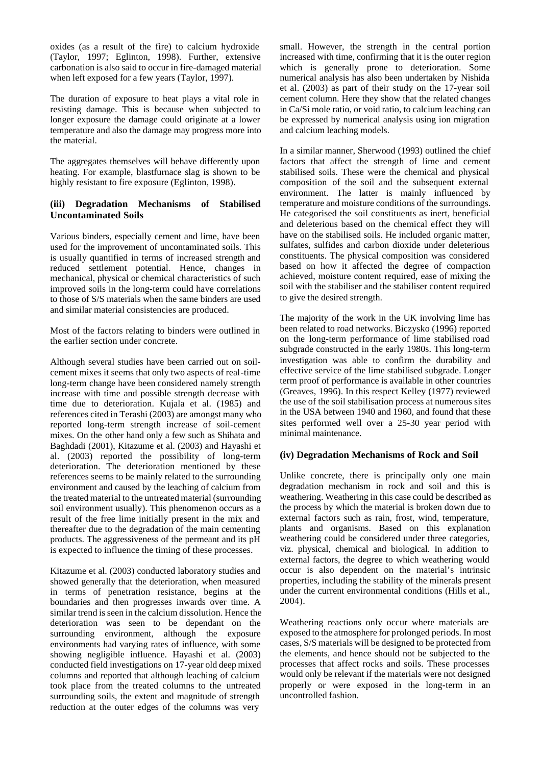oxides (as a result of the fire) to calcium hydroxide (Taylor, 1997; Eglinton, 1998). Further, extensive carbonation is also said to occur in fire-damaged material when left exposed for a few years (Taylor, 1997).

The duration of exposure to heat plays a vital role in resisting damage. This is because when subjected to longer exposure the damage could originate at a lower temperature and also the damage may progress more into the material.

The aggregates themselves will behave differently upon heating. For example, blastfurnace slag is shown to be highly resistant to fire exposure (Eglinton, 1998).

# **(iii) Degradation Mechanisms of Stabilised Uncontaminated Soils**

Various binders, especially cement and lime, have been used for the improvement of uncontaminated soils. This is usually quantified in terms of increased strength and reduced settlement potential. Hence, changes in mechanical, physical or chemical characteristics of such improved soils in the long-term could have correlations to those of S/S materials when the same binders are used and similar material consistencies are produced.

Most of the factors relating to binders were outlined in the earlier section under concrete.

Although several studies have been carried out on soilcement mixes it seems that only two aspects of real-time long-term change have been considered namely strength increase with time and possible strength decrease with time due to deterioration. Kujala et al. (1985) and references cited in Terashi (2003) are amongst many who reported long-term strength increase of soil-cement mixes. On the other hand only a few such as Shihata and Baghdadi (2001), Kitazume et al. (2003) and Hayashi et al. (2003) reported the possibility of long-term deterioration. The deterioration mentioned by these references seems to be mainly related to the surrounding environment and caused by the leaching of calcium from the treated material to the untreated material (surrounding soil environment usually). This phenomenon occurs as a result of the free lime initially present in the mix and thereafter due to the degradation of the main cementing products. The aggressiveness of the permeant and its pH is expected to influence the timing of these processes.

Kitazume et al. (2003) conducted laboratory studies and showed generally that the deterioration, when measured in terms of penetration resistance, begins at the boundaries and then progresses inwards over time. A similar trend is seen in the calcium dissolution. Hence the deterioration was seen to be dependant on the surrounding environment, although the exposure environments had varying rates of influence, with some showing negligible influence. Hayashi et al. (2003) conducted field investigations on 17-year old deep mixed columns and reported that although leaching of calcium took place from the treated columns to the untreated surrounding soils, the extent and magnitude of strength reduction at the outer edges of the columns was very

small. However, the strength in the central portion increased with time, confirming that it is the outer region which is generally prone to deterioration. Some numerical analysis has also been undertaken by Nishida et al. (2003) as part of their study on the 17-year soil cement column. Here they show that the related changes in Ca/Si mole ratio, or void ratio, to calcium leaching can be expressed by numerical analysis using ion migration and calcium leaching models.

In a similar manner, Sherwood (1993) outlined the chief factors that affect the strength of lime and cement stabilised soils. These were the chemical and physical composition of the soil and the subsequent external environment. The latter is mainly influenced by temperature and moisture conditions of the surroundings. He categorised the soil constituents as inert, beneficial and deleterious based on the chemical effect they will have on the stabilised soils. He included organic matter, sulfates, sulfides and carbon dioxide under deleterious constituents. The physical composition was considered based on how it affected the degree of compaction achieved, moisture content required, ease of mixing the soil with the stabiliser and the stabiliser content required to give the desired strength.

The majority of the work in the UK involving lime has been related to road networks. Biczysko (1996) reported on the long-term performance of lime stabilised road subgrade constructed in the early 1980s. This long-term investigation was able to confirm the durability and effective service of the lime stabilised subgrade. Longer term proof of performance is available in other countries (Greaves, 1996). In this respect Kelley (1977) reviewed the use of the soil stabilisation process at numerous sites in the USA between 1940 and 1960, and found that these sites performed well over a 25-30 year period with minimal maintenance.

# **(iv) Degradation Mechanisms of Rock and Soil**

Unlike concrete, there is principally only one main degradation mechanism in rock and soil and this is weathering. Weathering in this case could be described as the process by which the material is broken down due to external factors such as rain, frost, wind, temperature, plants and organisms. Based on this explanation weathering could be considered under three categories, viz. physical, chemical and biological. In addition to external factors, the degree to which weathering would occur is also dependent on the material's intrinsic properties, including the stability of the minerals present under the current environmental conditions (Hills et al., 2004).

Weathering reactions only occur where materials are exposed to the atmosphere for prolonged periods. In most cases, S/S materials will be designed to be protected from the elements, and hence should not be subjected to the processes that affect rocks and soils. These processes would only be relevant if the materials were not designed properly or were exposed in the long-term in an uncontrolled fashion.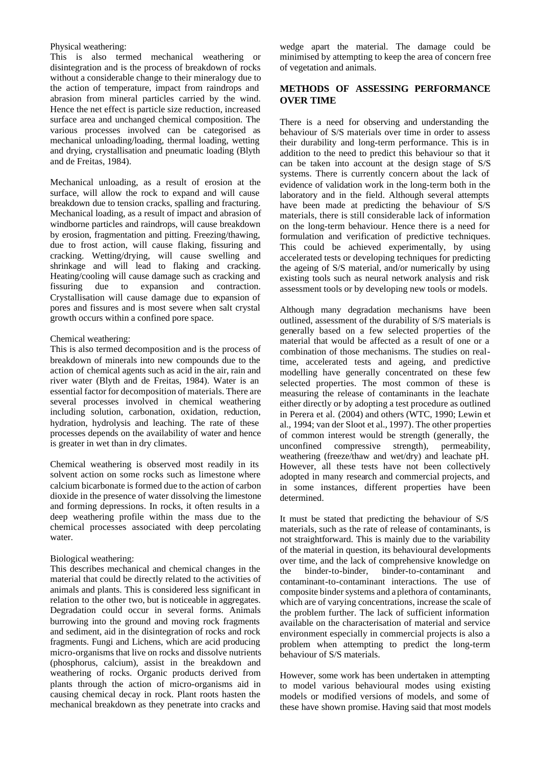## Physical weathering:

This is also termed mechanical weathering or disintegration and is the process of breakdown of rocks without a considerable change to their mineralogy due to the action of temperature, impact from raindrops and abrasion from mineral particles carried by the wind. Hence the net effect is particle size reduction, increased surface area and unchanged chemical composition. The various processes involved can be categorised as mechanical unloading/loading, thermal loading, wetting and drying, crystallisation and pneumatic loading (Blyth and de Freitas, 1984).

Mechanical unloading, as a result of erosion at the surface, will allow the rock to expand and will cause breakdown due to tension cracks, spalling and fracturing. Mechanical loading, as a result of impact and abrasion of windborne particles and raindrops, will cause breakdown by erosion, fragmentation and pitting. Freezing/thawing, due to frost action, will cause flaking, fissuring and cracking. Wetting/drying, will cause swelling and shrinkage and will lead to flaking and cracking. Heating/cooling will cause damage such as cracking and fissuring due to expansion and contraction. Crystallisation will cause damage due to expansion of pores and fissures and is most severe when salt crystal growth occurs within a confined pore space.

# Chemical weathering:

This is also termed decomposition and is the process of breakdown of minerals into new compounds due to the action of chemical agents such as acid in the air, rain and river water (Blyth and de Freitas, 1984). Water is an essential factor for decomposition of materials. There are several processes involved in chemical weathering including solution, carbonation, oxidation, reduction, hydration, hydrolysis and leaching. The rate of these processes depends on the availability of water and hence is greater in wet than in dry climates.

Chemical weathering is observed most readily in its solvent action on some rocks such as limestone where calcium bicarbonate is formed due to the action of carbon dioxide in the presence of water dissolving the limestone and forming depressions. In rocks, it often results in a deep weathering profile within the mass due to the chemical processes associated with deep percolating water.

# Biological weathering:

This describes mechanical and chemical changes in the material that could be directly related to the activities of animals and plants. This is considered less significant in relation to the other two, but is noticeable in aggregates. Degradation could occur in several forms. Animals burrowing into the ground and moving rock fragments and sediment, aid in the disintegration of rocks and rock fragments. Fungi and Lichens, which are acid producing micro-organisms that live on rocks and dissolve nutrients (phosphorus, calcium), assist in the breakdown and weathering of rocks. Organic products derived from plants through the action of micro-organisms aid in causing chemical decay in rock. Plant roots hasten the mechanical breakdown as they penetrate into cracks and

wedge apart the material. The damage could be minimised by attempting to keep the area of concern free of vegetation and animals.

# **METHODS OF ASSESSING PERFORMANCE OVER TIME**

There is a need for observing and understanding the behaviour of S/S materials over time in order to assess their durability and long-term performance. This is in addition to the need to predict this behaviour so that it can be taken into account at the design stage of S/S systems. There is currently concern about the lack of evidence of validation work in the long-term both in the laboratory and in the field. Although several attempts have been made at predicting the behaviour of S/S materials, there is still considerable lack of information on the long-term behaviour. Hence there is a need for formulation and verification of predictive techniques. This could be achieved experimentally, by using accelerated tests or developing techniques for predicting the ageing of S/S material, and/or numerically by using existing tools such as neural network analysis and risk assessment tools or by developing new tools or models.

Although many degradation mechanisms have been outlined, assessment of the durability of S/S materials is generally based on a few selected properties of the material that would be affected as a result of one or a combination of those mechanisms. The studies on realtime, accelerated tests and ageing, and predictive modelling have generally concentrated on these few selected properties. The most common of these is measuring the release of contaminants in the leachate either directly or by adopting a test procedure as outlined in Perera et al. (2004) and others (WTC, 1990; Lewin et al., 1994; van der Sloot et al., 1997). The other properties of common interest would be strength (generally, the unconfined compressive strength), permeability, weathering (freeze/thaw and wet/dry) and leachate pH. However, all these tests have not been collectively adopted in many research and commercial projects, and in some instances, different properties have been determined.

It must be stated that predicting the behaviour of S/S materials, such as the rate of release of contaminants, is not straightforward. This is mainly due to the variability of the material in question, its behavioural developments over time, and the lack of comprehensive knowledge on the binder-to-binder, binder-to-contaminant and contaminant-to-contaminant interactions. The use of composite binder systems and a plethora of contaminants, which are of varying concentrations, increase the scale of the problem further. The lack of sufficient information available on the characterisation of material and service environment especially in commercial projects is also a problem when attempting to predict the long-term behaviour of S/S materials.

However, some work has been undertaken in attempting to model various behavioural modes using existing models or modified versions of models, and some of these have shown promise. Having said that most models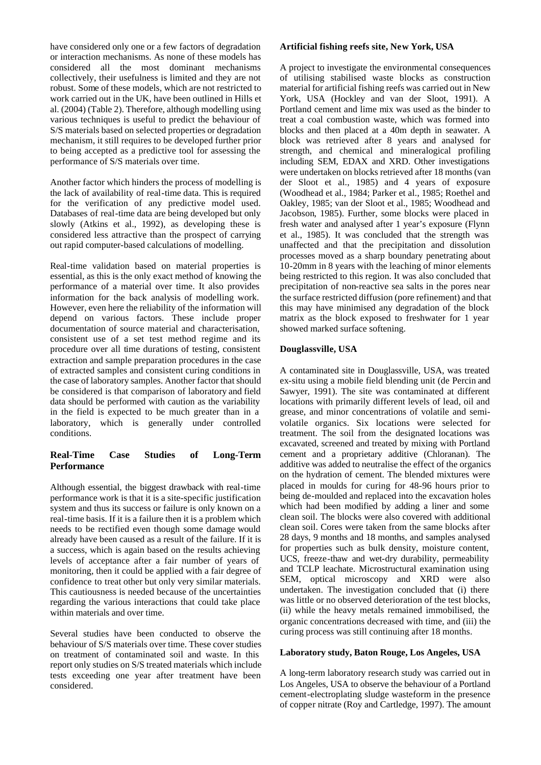have considered only one or a few factors of degradation or interaction mechanisms. As none of these models has considered all the most dominant mechanisms collectively, their usefulness is limited and they are not robust. Some of these models, which are not restricted to work carried out in the UK, have been outlined in Hills et al. (2004) (Table 2). Therefore, although modelling using various techniques is useful to predict the behaviour of S/S materials based on selected properties or degradation mechanism, it still requires to be developed further prior to being accepted as a predictive tool for assessing the performance of S/S materials over time.

Another factor which hinders the process of modelling is the lack of availability of real-time data. This is required for the verification of any predictive model used. Databases of real-time data are being developed but only slowly (Atkins et al., 1992), as developing these is considered less attractive than the prospect of carrying out rapid computer-based calculations of modelling.

Real-time validation based on material properties is essential, as this is the only exact method of knowing the performance of a material over time. It also provides information for the back analysis of modelling work. However, even here the reliability of the information will depend on various factors. These include proper documentation of source material and characterisation, consistent use of a set test method regime and its procedure over all time durations of testing, consistent extraction and sample preparation procedures in the case of extracted samples and consistent curing conditions in the case of laboratory samples. Another factor that should be considered is that comparison of laboratory and field data should be performed with caution as the variability in the field is expected to be much greater than in a laboratory, which is generally under controlled conditions.

# **Real-Time Case Studies of Long-Term Performance**

Although essential, the biggest drawback with real-time performance work is that it is a site-specific justification system and thus its success or failure is only known on a real-time basis. If it is a failure then it is a problem which needs to be rectified even though some damage would already have been caused as a result of the failure. If it is a success, which is again based on the results achieving levels of acceptance after a fair number of years of monitoring, then it could be applied with a fair degree of confidence to treat other but only very similar materials. This cautiousness is needed because of the uncertainties regarding the various interactions that could take place within materials and over time.

Several studies have been conducted to observe the behaviour of S/S materials over time. These cover studies on treatment of contaminated soil and waste. In this report only studies on S/S treated materials which include tests exceeding one year after treatment have been considered.

# **Artificial fishing reefs site, New York, USA**

A project to investigate the environmental consequences of utilising stabilised waste blocks as construction material for artificial fishing reefs was carried out in New York, USA (Hockley and van der Sloot, 1991). A Portland cement and lime mix was used as the binder to treat a coal combustion waste, which was formed into blocks and then placed at a 40m depth in seawater. A block was retrieved after 8 years and analysed for strength, and chemical and mineralogical profiling including SEM, EDAX and XRD. Other investigations were undertaken on blocks retrieved after 18 months (van der Sloot et al., 1985) and 4 years of exposure (Woodhead et al., 1984; Parker et al., 1985; Roethel and Oakley, 1985; van der Sloot et al., 1985; Woodhead and Jacobson, 1985). Further, some blocks were placed in fresh water and analysed after 1 year's exposure (Flynn et al., 1985). It was concluded that the strength was unaffected and that the precipitation and dissolution processes moved as a sharp boundary penetrating about 10-20mm in 8 years with the leaching of minor elements being restricted to this region. It was also concluded that precipitation of non-reactive sea salts in the pores near the surface restricted diffusion (pore refinement) and that this may have minimised any degradation of the block matrix as the block exposed to freshwater for 1 year showed marked surface softening.

## **Douglassville, USA**

A contaminated site in Douglassville, USA, was treated ex-situ using a mobile field blending unit (de Percin and Sawyer, 1991). The site was contaminated at different locations with primarily different levels of lead, oil and grease, and minor concentrations of volatile and semivolatile organics. Six locations were selected for treatment. The soil from the designated locations was excavated, screened and treated by mixing with Portland cement and a proprietary additive (Chloranan). The additive was added to neutralise the effect of the organics on the hydration of cement. The blended mixtures were placed in moulds for curing for 48-96 hours prior to being de-moulded and replaced into the excavation holes which had been modified by adding a liner and some clean soil. The blocks were also covered with additional clean soil. Cores were taken from the same blocks after 28 days, 9 months and 18 months, and samples analysed for properties such as bulk density, moisture content, UCS, freeze-thaw and wet-dry durability, permeability and TCLP leachate. Microstructural examination using SEM, optical microscopy and XRD were also undertaken. The investigation concluded that (i) there was little or no observed deterioration of the test blocks, (ii) while the heavy metals remained immobilised, the organic concentrations decreased with time, and (iii) the curing process was still continuing after 18 months.

### **Laboratory study, Baton Rouge, Los Angeles, USA**

A long-term laboratory research study was carried out in Los Angeles, USA to observe the behaviour of a Portland cement-electroplating sludge wasteform in the presence of copper nitrate (Roy and Cartledge, 1997). The amount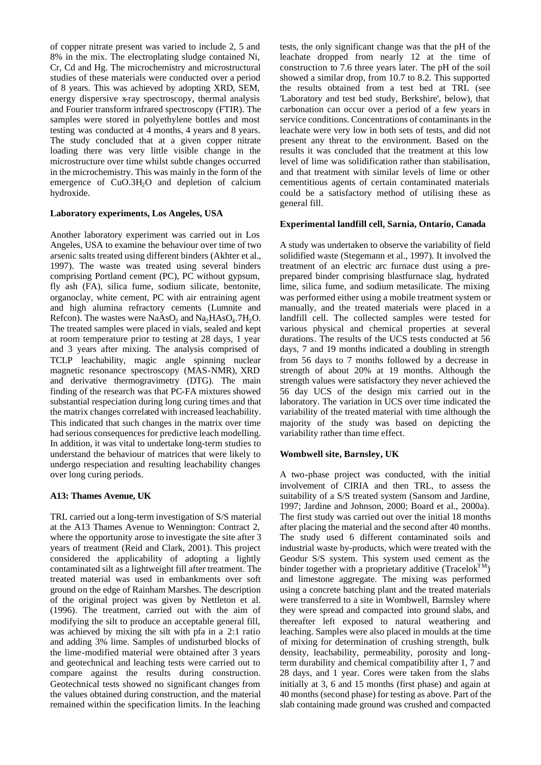of copper nitrate present was varied to include 2, 5 and 8% in the mix. The electroplating sludge contained Ni, Cr, Cd and Hg. The microchemistry and microstructural studies of these materials were conducted over a period of 8 years. This was achieved by adopting XRD, SEM, energy dispersive x-ray spectroscopy, thermal analysis and Fourier transform infrared spectroscopy (FTIR). The samples were stored in polyethylene bottles and most testing was conducted at 4 months, 4 years and 8 years. The study concluded that at a given copper nitrate loading there was very little visible change in the microstructure over time whilst subtle changes occurred in the microchemistry. This was mainly in the form of the emergence of CuO.3H<sub>2</sub>O and depletion of calcium hydroxide.

# **Laboratory experiments, Los Angeles, USA**

Another laboratory experiment was carried out in Los Angeles, USA to examine the behaviour over time of two arsenic salts treated using different binders (Akhter et al., 1997). The waste was treated using several binders comprising Portland cement (PC), PC without gypsum, fly ash (FA), silica fume, sodium silicate, bentonite, organoclay, white cement, PC with air entraining agent and high alumina refractory cements (Lumnite and Refcon). The wastes were  $NaAsO<sub>2</sub>$  and  $Na<sub>2</sub>HAsO<sub>4</sub>$ .7H<sub>2</sub>O. The treated samples were placed in vials, sealed and kept at room temperature prior to testing at 28 days, 1 year and 3 years after mixing. The analysis comprised of TCLP leachability, magic angle spinning nuclear magnetic resonance spectroscopy (MAS-NMR), XRD and derivative thermogravimetry (DTG). The main finding of the research was that PC-FA mixtures showed substantial respeciation during long curing times and that the matrix changes correlated with increased leachability. This indicated that such changes in the matrix over time had serious consequences for predictive leach modelling. In addition, it was vital to undertake long-term studies to understand the behaviour of matrices that were likely to undergo respeciation and resulting leachability changes over long curing periods.

# **A13: Thames Avenue, UK**

TRL carried out a long-term investigation of S/S material at the A13 Thames Avenue to Wennington: Contract 2, where the opportunity arose to investigate the site after 3 years of treatment (Reid and Clark, 2001). This project considered the applicability of adopting a lightly contaminated silt as a lightweight fill after treatment. The treated material was used in embankments over soft ground on the edge of Rainham Marshes. The description of the original project was given by Nettleton et al. (1996). The treatment, carried out with the aim of modifying the silt to produce an acceptable general fill, was achieved by mixing the silt with pfa in a 2:1 ratio and adding 3% lime. Samples of undisturbed blocks of the lime-modified material were obtained after 3 years and geotechnical and leaching tests were carried out to compare against the results during construction. Geotechnical tests showed no significant changes from the values obtained during construction, and the material remained within the specification limits. In the leaching

tests, the only significant change was that the pH of the leachate dropped from nearly 12 at the time of construction to 7.6 three years later. The pH of the soil showed a similar drop, from 10.7 to 8.2. This supported the results obtained from a test bed at TRL (see 'Laboratory and test bed study, Berkshire', below), that carbonation can occur over a period of a few years in service conditions. Concentrations of contaminants in the leachate were very low in both sets of tests, and did not present any threat to the environment. Based on the results it was concluded that the treatment at this low level of lime was solidification rather than stabilisation, and that treatment with similar levels of lime or other cementitious agents of certain contaminated materials could be a satisfactory method of utilising these as general fill.

# **Experimental landfill cell, Sarnia, Ontario, Canada**

A study was undertaken to observe the variability of field solidified waste (Stegemann et al., 1997). It involved the treatment of an electric arc furnace dust using a preprepared binder comprising blastfurnace slag, hydrated lime, silica fume, and sodium metasilicate. The mixing was performed either using a mobile treatment system or manually, and the treated materials were placed in a landfill cell. The collected samples were tested for various physical and chemical properties at several durations. The results of the UCS tests conducted at 56 days, 7 and 19 months indicated a doubling in strength from 56 days to 7 months followed by a decrease in strength of about 20% at 19 months. Although the strength values were satisfactory they never achieved the 56 day UCS of the design mix carried out in the laboratory. The variation in UCS over time indicated the variability of the treated material with time although the majority of the study was based on depicting the variability rather than time effect.

# **Wombwell site, Barnsley, UK**

A two-phase project was conducted, with the initial involvement of CIRIA and then TRL, to assess the suitability of a S/S treated system (Sansom and Jardine, 1997; Jardine and Johnson, 2000; Board et al., 2000a). The first study was carried out over the initial 18 months after placing the material and the second after 40 months. The study used 6 different contaminated soils and industrial waste by-products, which were treated with the Geodur S/S system. This system used cement as the binder together with a proprietary additive (Tracelok<sup>TM</sup>) and limestone aggregate. The mixing was performed using a concrete batching plant and the treated materials were transferred to a site in Wombwell, Barnsley where they were spread and compacted into ground slabs, and thereafter left exposed to natural weathering and leaching. Samples were also placed in moulds at the time of mixing for determination of crushing strength, bulk density, leachability, permeability, porosity and longterm durability and chemical compatibility after 1, 7 and 28 days, and 1 year. Cores were taken from the slabs initially at 3, 6 and 15 months (first phase) and again at 40 months (second phase) for testing as above. Part of the slab containing made ground was crushed and compacted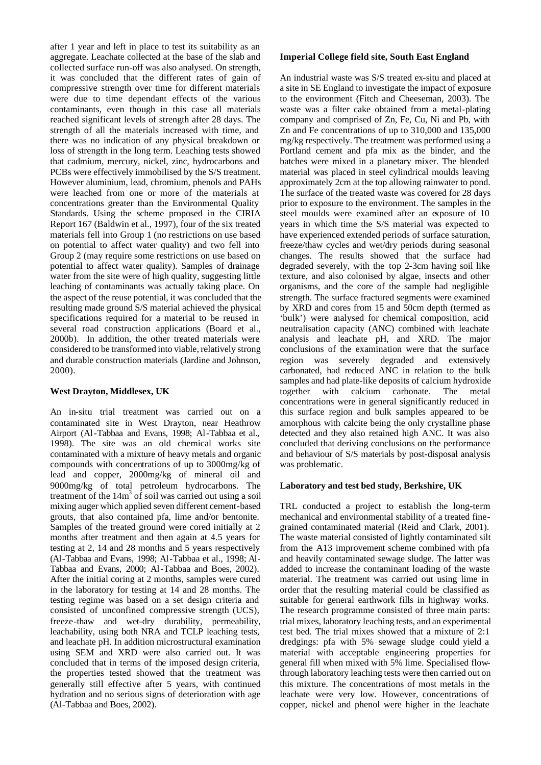after 1 year and left in place to test its suitability as an aggregate. Leachate collected at the base of the slab and collected surface run-off was also analysed. On strength, it was concluded that the different rates of gain of compressive strength over time for different materials were due to time dependant effects of the various contaminants, even though in this case all materials reached significant levels of strength after 28 days. The strength of all the materials increased with time, and there was no indication of any physical breakdown or loss of strength in the long term. Leaching tests showed that cadmium, mercury, nickel, zinc, hydrocarbons and PCBs were effectively immobilised by the S/S treatment. However aluminium, lead, chromium, phenols and PAHs were leached from one or more of the materials at concentrations greater than the Environmental Quality Standards. Using the scheme proposed in the CIRIA Report 167 (Baldwin et al., 1997), four of the six treated materials fell into Group 1 (no restrictions on use based on potential to affect water quality) and two fell into Group 2 (may require some restrictions on use based on potential to affect water quality). Samples of drainage water from the site were of high quality, suggesting little leaching of contaminants was actually taking place. On the aspect of the reuse potential, it was concluded that the resulting made ground S/S material achieved the physical specifications required for a material to be reused in several road construction applications (Board et al., 2000b). In addition, the other treated materials were considered to be transformed into viable, relatively strong and durable construction materials (Jardine and Johnson, 2000).

# **West Drayton, Middlesex, UK**

An in-situ trial treatment was carried out on a contaminated site in West Drayton, near Heathrow Airport (Al-Tabbaa and Evans, 1998; Al-Tabbaa et al., 1998). The site was an old chemical works site contaminated with a mixture of heavy metals and organic compounds with concentrations of up to 3000mg/kg of lead and copper, 2000mg/kg of mineral oil and 9000mg/kg of total petroleum hydrocarbons. The treatment of the  $14m<sup>3</sup>$  of soil was carried out using a soil mixing auger which applied seven different cement-based grouts, that also contained pfa, lime and/or bentonite. Samples of the treated ground were cored initially at 2 months after treatment and then again at 4.5 years for testing at 2, 14 and 28 months and 5 years respectively (Al-Tabbaa and Evans, 1998; Al-Tabbaa et al., 1998; Al-Tabbaa and Evans, 2000; Al-Tabbaa and Boes, 2002). After the initial coring at 2 months, samples were cured in the laboratory for testing at 14 and 28 months. The testing regime was based on a set design criteria and consisted of unconfined compressive strength (UCS), freeze-thaw and wet-dry durability, permeability, leachability, using both NRA and TCLP leaching tests, and leachate pH. In addition microstructural examination using SEM and XRD were also carried out. It was concluded that in terms of the imposed design criteria, the properties tested showed that the treatment was generally still effective after 5 years, with continued hydration and no serious signs of deterioration with age (Al-Tabbaa and Boes, 2002).

## **Imperial College field site, South East England**

An industrial waste was S/S treated ex-situ and placed at a site in SE England to investigate the impact of exposure to the environment (Fitch and Cheeseman, 2003). The waste was a filter cake obtained from a metal-plating company and comprised of Zn, Fe, Cu, Ni and Pb, with Zn and Fe concentrations of up to 310,000 and 135,000 mg/kg respectively. The treatment was performed using a Portland cement and pfa mix as the binder, and the batches were mixed in a planetary mixer. The blended material was placed in steel cylindrical moulds leaving approximately 2cm at the top allowing rainwater to pond. The surface of the treated waste was covered for 28 days prior to exposure to the environment. The samples in the steel moulds were examined after an exposure of 10 years in which time the S/S material was expected to have experienced extended periods of surface saturation, freeze/thaw cycles and wet/dry periods during seasonal changes. The results showed that the surface had degraded severely, with the top 2-3cm having soil like texture, and also colonised by algae, insects and other organisms, and the core of the sample had negligible strength. The surface fractured segments were examined by XRD and cores from 15 and 50cm depth (termed as 'bulk') were analysed for chemical composition, acid neutralisation capacity (ANC) combined with leachate analysis and leachate pH, and XRD. The major conclusions of the examination were that the surface region was severely degraded and extensively carbonated, had reduced ANC in relation to the bulk samples and had plate-like deposits of calcium hydroxide together with calcium carbonate. The metal concentrations were in general significantly reduced in this surface region and bulk samples appeared to be amorphous with calcite being the only crystalline phase detected and they also retained high ANC. It was also concluded that deriving conclusions on the performance and behaviour of S/S materials by post-disposal analysis was problematic.

### **Laboratory and test bed study, Berkshire, UK**

TRL conducted a project to establish the long-term mechanical and environmental stability of a treated finegrained contaminated material (Reid and Clark, 2001). The waste material consisted of lightly contaminated silt from the A13 improvement scheme combined with pfa and heavily contaminated sewage sludge. The latter was added to increase the contaminant loading of the waste material. The treatment was carried out using lime in order that the resulting material could be classified as suitable for general earthwork fills in highway works. The research programme consisted of three main parts: trial mixes, laboratory leaching tests, and an experimental test bed. The trial mixes showed that a mixture of 2:1 dredgings: pfa with 5% sewage sludge could yield a material with acceptable engineering properties for general fill when mixed with 5% lime. Specialised flowthrough laboratory leaching tests were then carried out on this mixture. The concentrations of most metals in the leachate were very low. However, concentrations of copper, nickel and phenol were higher in the leachate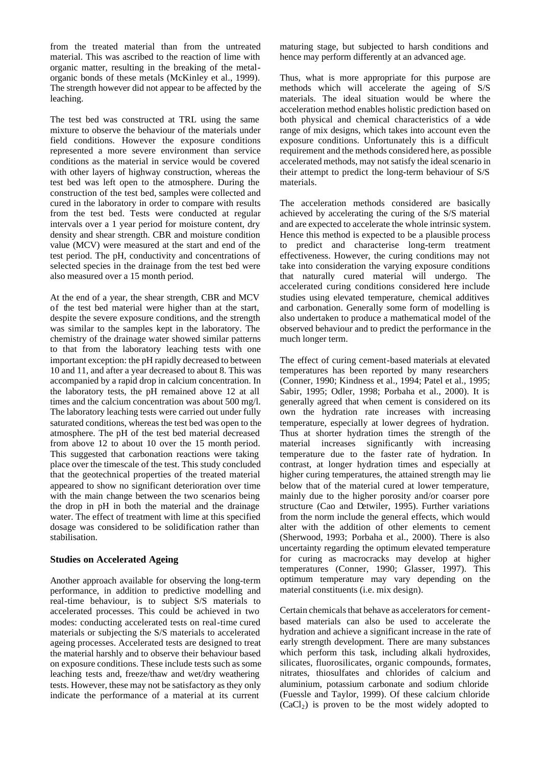from the treated material than from the untreated material. This was ascribed to the reaction of lime with organic matter, resulting in the breaking of the metalorganic bonds of these metals (McKinley et al., 1999). The strength however did not appear to be affected by the leaching.

The test bed was constructed at TRL using the same mixture to observe the behaviour of the materials under field conditions. However the exposure conditions represented a more severe environment than service conditions as the material in service would be covered with other layers of highway construction, whereas the test bed was left open to the atmosphere. During the construction of the test bed, samples were collected and cured in the laboratory in order to compare with results from the test bed. Tests were conducted at regular intervals over a 1 year period for moisture content, dry density and shear strength. CBR and moisture condition value (MCV) were measured at the start and end of the test period. The pH, conductivity and concentrations of selected species in the drainage from the test bed were also measured over a 15 month period.

At the end of a year, the shear strength, CBR and MCV of the test bed material were higher than at the start, despite the severe exposure conditions, and the strength was similar to the samples kept in the laboratory. The chemistry of the drainage water showed similar patterns to that from the laboratory leaching tests with one important exception: the pH rapidly decreased to between 10 and 11, and after a year decreased to about 8. This was accompanied by a rapid drop in calcium concentration. In the laboratory tests, the pH remained above 12 at all times and the calcium concentration was about 500 mg/l. The laboratory leaching tests were carried out under fully saturated conditions, whereas the test bed was open to the atmosphere. The pH of the test bed material decreased from above 12 to about 10 over the 15 month period. This suggested that carbonation reactions were taking place over the timescale of the test. This study concluded that the geotechnical properties of the treated material appeared to show no significant deterioration over time with the main change between the two scenarios being the drop in pH in both the material and the drainage water. The effect of treatment with lime at this specified dosage was considered to be solidification rather than stabilisation.

# **Studies on Accelerated Ageing**

Another approach available for observing the long-term performance, in addition to predictive modelling and real-time behaviour, is to subject S/S materials to accelerated processes. This could be achieved in two modes: conducting accelerated tests on real-time cured materials or subjecting the S/S materials to accelerated ageing processes. Accelerated tests are designed to treat the material harshly and to observe their behaviour based on exposure conditions. These include tests such as some leaching tests and, freeze/thaw and wet/dry weathering tests. However, these may not be satisfactory as they only indicate the performance of a material at its current

maturing stage, but subjected to harsh conditions and hence may perform differently at an advanced age.

Thus, what is more appropriate for this purpose are methods which will accelerate the ageing of S/S materials. The ideal situation would be where the acceleration method enables holistic prediction based on both physical and chemical characteristics of a wide range of mix designs, which takes into account even the exposure conditions. Unfortunately this is a difficult requirement and the methods considered here, as possible accelerated methods, may not satisfy the ideal scenario in their attempt to predict the long-term behaviour of S/S materials.

The acceleration methods considered are basically achieved by accelerating the curing of the S/S material and are expected to accelerate the whole intrinsic system. Hence this method is expected to be a plausible process to predict and characterise long-term treatment effectiveness. However, the curing conditions may not take into consideration the varying exposure conditions that naturally cured material will undergo. The accelerated curing conditions considered here include studies using elevated temperature, chemical additives and carbonation. Generally some form of modelling is also undertaken to produce a mathematical model of the observed behaviour and to predict the performance in the much longer term.

The effect of curing cement-based materials at elevated temperatures has been reported by many researchers (Conner, 1990; Kindness et al., 1994; Patel et al., 1995; Sabir, 1995; Odler, 1998; Porbaha et al., 2000). It is generally agreed that when cement is considered on its own the hydration rate increases with increasing temperature, especially at lower degrees of hydration. Thus at shorter hydration times the strength of the material increases significantly with increasing temperature due to the faster rate of hydration. In contrast, at longer hydration times and especially at higher curing temperatures, the attained strength may lie below that of the material cured at lower temperature, mainly due to the higher porosity and/or coarser pore structure (Cao and Detwiler, 1995). Further variations from the norm include the general effects, which would alter with the addition of other elements to cement (Sherwood, 1993; Porbaha et al., 2000). There is also uncertainty regarding the optimum elevated temperature for curing as macrocracks may develop at higher temperatures (Conner, 1990; Glasser, 1997). This optimum temperature may vary depending on the material constituents (i.e. mix design).

Certain chemicals that behave as accelerators for cementbased materials can also be used to accelerate the hydration and achieve a significant increase in the rate of early strength development. There are many substances which perform this task, including alkali hydroxides, silicates, fluorosilicates, organic compounds, formates, nitrates, thiosulfates and chlorides of calcium and aluminium, potassium carbonate and sodium chloride (Fuessle and Taylor, 1999). Of these calcium chloride  $(CaCl<sub>2</sub>)$  is proven to be the most widely adopted to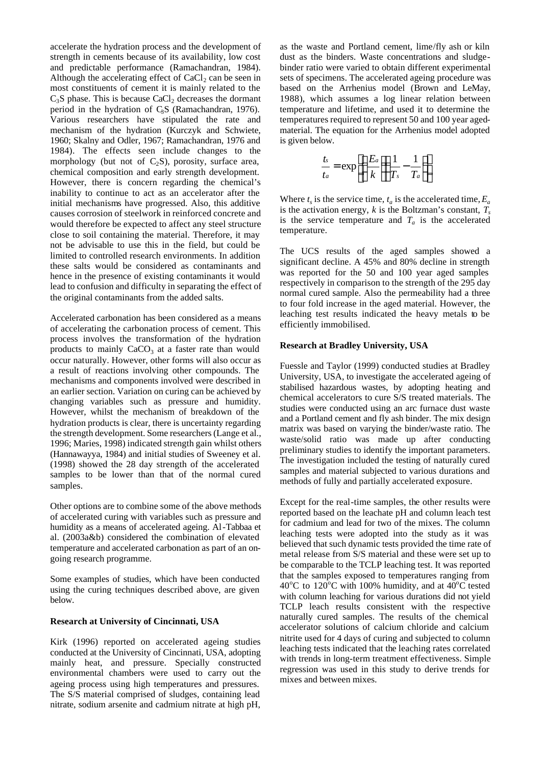accelerate the hydration process and the development of strength in cements because of its availability, low cost and predictable performance (Ramachandran, 1984). Although the accelerating effect of  $CaCl<sub>2</sub>$  can be seen in most constituents of cement it is mainly related to the  $C_3S$  phase. This is because  $CaCl_2$  decreases the dormant period in the hydration of C<sub>3</sub>S (Ramachandran, 1976). Various researchers have stipulated the rate and mechanism of the hydration (Kurczyk and Schwiete, 1960; Skalny and Odler, 1967; Ramachandran, 1976 and 1984). The effects seen include changes to the morphology (but not of  $C_2S$ ), porosity, surface area, chemical composition and early strength development. However, there is concern regarding the chemical's inability to continue to act as an accelerator after the initial mechanisms have progressed. Also, this additive causes corrosion of steelwork in reinforced concrete and would therefore be expected to affect any steel structure close to soil containing the material. Therefore, it may not be advisable to use this in the field, but could be limited to controlled research environments. In addition these salts would be considered as contaminants and hence in the presence of existing contaminants it would lead to confusion and difficulty in separating the effect of the original contaminants from the added salts.

Accelerated carbonation has been considered as a means of accelerating the carbonation process of cement. This process involves the transformation of the hydration products to mainly  $CaCO<sub>3</sub>$  at a faster rate than would occur naturally. However, other forms will also occur as a result of reactions involving other compounds. The mechanisms and components involved were described in an earlier section. Variation on curing can be achieved by changing variables such as pressure and humidity. However, whilst the mechanism of breakdown of the hydration products is clear, there is uncertainty regarding the strength development. Some researchers (Lange et al., 1996; Maries, 1998) indicated strength gain whilst others (Hannawayya, 1984) and initial studies of Sweeney et al. (1998) showed the 28 day strength of the accelerated samples to be lower than that of the normal cured samples.

Other options are to combine some of the above methods of accelerated curing with variables such as pressure and humidity as a means of accelerated ageing. Al-Tabbaa et al. (2003a&b) considered the combination of elevated temperature and accelerated carbonation as part of an ongoing research programme.

Some examples of studies, which have been conducted using the curing techniques described above, are given below.

### **Research at University of Cincinnati, USA**

Kirk (1996) reported on accelerated ageing studies conducted at the University of Cincinnati, USA, adopting mainly heat, and pressure. Specially constructed environmental chambers were used to carry out the ageing process using high temperatures and pressures. The S/S material comprised of sludges, containing lead nitrate, sodium arsenite and cadmium nitrate at high pH,

as the waste and Portland cement, lime/fly ash or kiln dust as the binders. Waste concentrations and sludgebinder ratio were varied to obtain different experimental sets of specimens. The accelerated ageing procedure was based on the Arrhenius model (Brown and LeMay, 1988), which assumes a log linear relation between temperature and lifetime, and used it to determine the temperatures required to represent 50 and 100 year agedmaterial. The equation for the Arrhenius model adopted is given below.

$$
\frac{t_s}{t_a} = \exp\left[\left(\frac{E_a}{k}\right)\left(\frac{1}{T_s} - \frac{1}{T_a}\right)\right]
$$

Where  $t_s$  is the service time,  $t_a$  is the accelerated time,  $E_a$ is the activation energy,  $k$  is the Boltzman's constant,  $T_s$ is the service temperature and  $T_a$  is the accelerated temperature.

The UCS results of the aged samples showed a significant decline. A 45% and 80% decline in strength was reported for the 50 and 100 year aged samples respectively in comparison to the strength of the 295 day normal cured sample. Also the permeability had a three to four fold increase in the aged material. However, the leaching test results indicated the heavy metals to be efficiently immobilised.

### **Research at Bradley University, USA**

Fuessle and Taylor (1999) conducted studies at Bradley University, USA, to investigate the accelerated ageing of stabilised hazardous wastes, by adopting heating and chemical accelerators to cure S/S treated materials. The studies were conducted using an arc furnace dust waste and a Portland cement and fly ash binder. The mix design matrix was based on varying the binder/waste ratio. The waste/solid ratio was made up after conducting preliminary studies to identify the important parameters. The investigation included the testing of naturally cured samples and material subjected to various durations and methods of fully and partially accelerated exposure.

Except for the real-time samples, the other results were reported based on the leachate pH and column leach test for cadmium and lead for two of the mixes. The column leaching tests were adopted into the study as it was believed that such dynamic tests provided the time rate of metal release from S/S material and these were set up to be comparable to the TCLP leaching test. It was reported that the samples exposed to temperatures ranging from  $40^{\circ}$ C to  $120^{\circ}$ C with 100% humidity, and at  $40^{\circ}$ C tested with column leaching for various durations did not yield TCLP leach results consistent with the respective naturally cured samples. The results of the chemical accelerator solutions of calcium chloride and calcium nitrite used for 4 days of curing and subjected to column leaching tests indicated that the leaching rates correlated with trends in long-term treatment effectiveness. Simple regression was used in this study to derive trends for mixes and between mixes.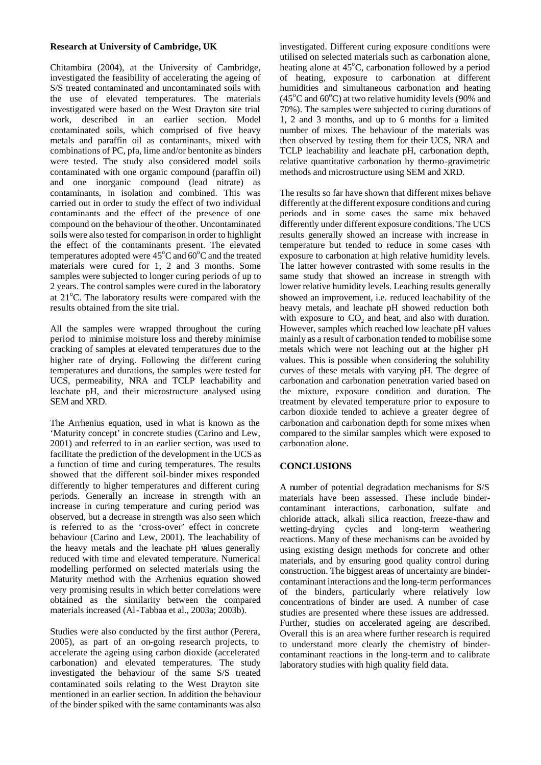# **Research at University of Cambridge, UK**

Chitambira (2004), at the University of Cambridge, investigated the feasibility of accelerating the ageing of S/S treated contaminated and uncontaminated soils with the use of elevated temperatures. The materials investigated were based on the West Drayton site trial work, described in an earlier section. Model contaminated soils, which comprised of five heavy metals and paraffin oil as contaminants, mixed with combinations of PC, pfa, lime and/or bentonite as binders were tested. The study also considered model soils contaminated with one organic compound (paraffin oil) and one inorganic compound (lead nitrate) as contaminants, in isolation and combined. This was carried out in order to study the effect of two individual contaminants and the effect of the presence of one compound on the behaviour of the other. Uncontaminated soils were also tested for comparison in order to highlight the effect of the contaminants present. The elevated temperatures adopted were  $45^{\circ}$ C and  $60^{\circ}$ C and the treated materials were cured for 1, 2 and 3 months. Some samples were subjected to longer curing periods of up to 2 years. The control samples were cured in the laboratory at  $21^{\circ}$ C. The laboratory results were compared with the results obtained from the site trial.

All the samples were wrapped throughout the curing period to minimise moisture loss and thereby minimise cracking of samples at elevated temperatures due to the higher rate of drying. Following the different curing temperatures and durations, the samples were tested for UCS, permeability, NRA and TCLP leachability and leachate pH, and their microstructure analysed using SEM and XRD.

The Arrhenius equation, used in what is known as the 'Maturity concept' in concrete studies (Carino and Lew, 2001) and referred to in an earlier section, was used to facilitate the prediction of the development in the UCS as a function of time and curing temperatures. The results showed that the different soil-binder mixes responded differently to higher temperatures and different curing periods. Generally an increase in strength with an increase in curing temperature and curing period was observed, but a decrease in strength was also seen which is referred to as the 'cross-over' effect in concrete behaviour (Carino and Lew, 2001). The leachability of the heavy metals and the leachate pH values generally reduced with time and elevated temperature. Numerical modelling performed on selected materials using the Maturity method with the Arrhenius equation showed very promising results in which better correlations were obtained as the similarity between the compared materials increased (Al-Tabbaa et al., 2003a; 2003b).

Studies were also conducted by the first author (Perera, 2005), as part of an on-going research projects, to accelerate the ageing using carbon dioxide (accelerated carbonation) and elevated temperatures. The study investigated the behaviour of the same S/S treated contaminated soils relating to the West Drayton site mentioned in an earlier section. In addition the behaviour of the binder spiked with the same contaminants was also investigated. Different curing exposure conditions were utilised on selected materials such as carbonation alone, heating alone at  $45^{\circ}$ C, carbonation followed by a period of heating, exposure to carbonation at different humidities and simultaneous carbonation and heating  $(45^{\circ}$ C and  $60^{\circ}$ C) at two relative humidity levels (90% and 70%). The samples were subjected to curing durations of 1, 2 and 3 months, and up to 6 months for a limited number of mixes. The behaviour of the materials was then observed by testing them for their UCS, NRA and TCLP leachability and leachate pH, carbonation depth, relative quantitative carbonation by thermo-gravimetric methods and microstructure using SEM and XRD.

The results so far have shown that different mixes behave differently at the different exposure conditions and curing periods and in some cases the same mix behaved differently under different exposure conditions. The UCS results generally showed an increase with increase in temperature but tended to reduce in some cases with exposure to carbonation at high relative humidity levels. The latter however contrasted with some results in the same study that showed an increase in strength with lower relative humidity levels. Leaching results generally showed an improvement, i.e. reduced leachability of the heavy metals, and leachate pH showed reduction both with exposure to  $CO<sub>2</sub>$  and heat, and also with duration. However, samples which reached low leachate pH values mainly as a result of carbonation tended to mobilise some metals which were not leaching out at the higher pH values. This is possible when considering the solubility curves of these metals with varying pH. The degree of carbonation and carbonation penetration varied based on the mixture, exposure condition and duration. The treatment by elevated temperature prior to exposure to carbon dioxide tended to achieve a greater degree of carbonation and carbonation depth for some mixes when compared to the similar samples which were exposed to carbonation alone.

### **CONCLUSIONS**

A number of potential degradation mechanisms for S/S materials have been assessed. These include bindercontaminant interactions, carbonation, sulfate and chloride attack, alkali silica reaction, freeze-thaw and wetting-drying cycles and long-term weathering reactions. Many of these mechanisms can be avoided by using existing design methods for concrete and other materials, and by ensuring good quality control during construction. The biggest areas of uncertainty are bindercontaminant interactions and the long-term performances of the binders, particularly where relatively low concentrations of binder are used. A number of case studies are presented where these issues are addressed. Further, studies on accelerated ageing are described. Overall this is an area where further research is required to understand more clearly the chemistry of bindercontaminant reactions in the long-term and to calibrate laboratory studies with high quality field data.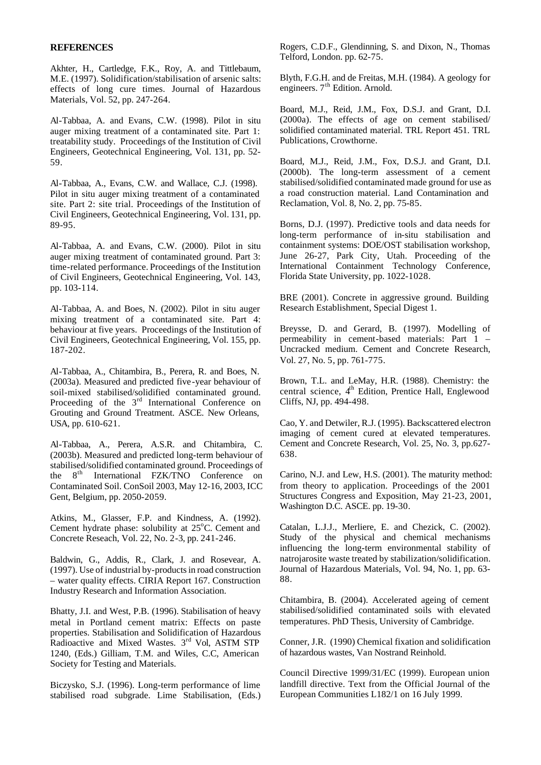### **REFERENCES**

Akhter, H., Cartledge, F.K., Roy, A. and Tittlebaum, M.E. (1997). Solidification/stabilisation of arsenic salts: effects of long cure times. Journal of Hazardous Materials, Vol. 52, pp. 247-264.

Al-Tabbaa, A. and Evans, C.W. (1998). Pilot in situ auger mixing treatment of a contaminated site. Part 1: treatability study. Proceedings of the Institution of Civil Engineers, Geotechnical Engineering, Vol. 131, pp. 52- 59.

Al-Tabbaa, A., Evans, C.W. and Wallace, C.J. (1998). Pilot in situ auger mixing treatment of a contaminated site. Part 2: site trial. Proceedings of the Institution of Civil Engineers, Geotechnical Engineering, Vol. 131, pp. 89-95.

Al-Tabbaa, A. and Evans, C.W. (2000). Pilot in situ auger mixing treatment of contaminated ground. Part 3: time-related performance. Proceedings of the Institution of Civil Engineers, Geotechnical Engineering, Vol. 143, pp. 103-114.

Al-Tabbaa, A. and Boes, N. (2002). Pilot in situ auger mixing treatment of a contaminated site. Part 4: behaviour at five years. Proceedings of the Institution of Civil Engineers, Geotechnical Engineering, Vol. 155, pp. 187-202.

Al-Tabbaa, A., Chitambira, B., Perera, R. and Boes, N. (2003a). Measured and predicted five -year behaviour of soil-mixed stabilised/solidified contaminated ground. Proceeding of the  $3<sup>rd</sup>$  International Conference on Grouting and Ground Treatment. ASCE. New Orleans, USA, pp. 610-621.

Al-Tabbaa, A., Perera, A.S.R. and Chitambira, C. (2003b). Measured and predicted long-term behaviour of stabilised/solidified contaminated ground. Proceedings of<br>the 8<sup>th</sup> International FZK/TNO Conference on the International FZK/TNO Conference on Contaminated Soil. ConSoil 2003, May 12-16, 2003, ICC Gent, Belgium, pp. 2050-2059.

Atkins, M., Glasser, F.P. and Kindness, A. (1992). Cement hydrate phase: solubility at  $25^{\circ}$ C. Cement and Concrete Reseach, Vol. 22, No. 2-3, pp. 241-246.

Baldwin, G., Addis, R., Clark, J. and Rosevear, A. (1997). Use of industrial by-products in road construction – water quality effects. CIRIA Report 167. Construction Industry Research and Information Association.

Bhatty, J.I. and West, P.B. (1996). Stabilisation of heavy metal in Portland cement matrix: Effects on paste properties. Stabilisation and Solidification of Hazardous Radioactive and Mixed Wastes. 3<sup>rd</sup> Vol, ASTM STP 1240, (Eds.) Gilliam, T.M. and Wiles, C.C, American Society for Testing and Materials.

Biczysko, S.J. (1996). Long-term performance of lime stabilised road subgrade. Lime Stabilisation, (Eds.) Rogers, C.D.F., Glendinning, S. and Dixon, N., Thomas Telford, London. pp. 62-75.

Blyth, F.G.H. and de Freitas, M.H. (1984). A geology for engineers.  $7<sup>th</sup>$  Edition. Arnold.

Board, M.J., Reid, J.M., Fox, D.S.J. and Grant, D.I. (2000a). The effects of age on cement stabilised/ solidified contaminated material. TRL Report 451. TRL Publications, Crowthorne.

Board, M.J., Reid, J.M., Fox, D.S.J. and Grant, D.I. (2000b). The long-term assessment of a cement stabilised/solidified contaminated made ground for use as a road construction material. Land Contamination and Reclamation, Vol. 8, No. 2, pp. 75-85.

Borns, D.J. (1997). Predictive tools and data needs for long-term performance of in-situ stabilisation and containment systems: DOE/OST stabilisation workshop, June 26-27, Park City, Utah. Proceeding of the International Containment Technology Conference, Florida State University, pp. 1022-1028.

BRE (2001). Concrete in aggressive ground. Building Research Establishment, Special Digest 1.

Breysse, D. and Gerard, B. (1997). Modelling of permeability in cement-based materials: Part 1 – Uncracked medium. Cement and Concrete Research, Vol. 27, No. 5, pp. 761-775.

Brown, T.L. and LeMay, H.R. (1988). Chemistry: the central science, 4<sup>th</sup> Edition, Prentice Hall, Englewood Cliffs, NJ, pp. 494-498.

Cao, Y. and Detwiler, R.J. (1995). Backscattered electron imaging of cement cured at elevated temperatures. Cement and Concrete Research, Vol. 25, No. 3, pp.627- 638.

Carino, N.J. and Lew, H.S. (2001). The maturity method: from theory to application. Proceedings of the 2001 Structures Congress and Exposition, May 21-23, 2001, Washington D.C. ASCE. pp. 19-30.

Catalan, L.J.J., Merliere, E. and Chezick, C. (2002). Study of the physical and chemical mechanisms influencing the long-term environmental stability of natrojarosite waste treated by stabilization/solidification. Journal of Hazardous Materials, Vol. 94, No. 1, pp. 63- 88.

Chitambira, B. (2004). Accelerated ageing of cement stabilised/solidified contaminated soils with elevated temperatures. PhD Thesis, University of Cambridge.

Conner, J.R. (1990) Chemical fixation and solidification of hazardous wastes, Van Nostrand Reinhold.

Council Directive 1999/31/EC (1999). European union landfill directive. Text from the Official Journal of the European Communities L182/1 on 16 July 1999.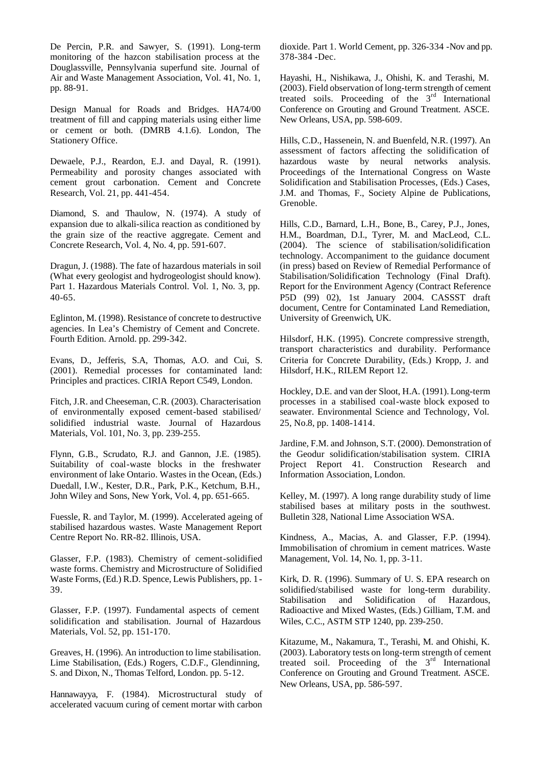De Percin, P.R. and Sawyer, S. (1991). Long-term monitoring of the hazcon stabilisation process at the Douglassville, Pennsylvania superfund site. Journal of Air and Waste Management Association, Vol. 41, No. 1, pp. 88-91.

Design Manual for Roads and Bridges. HA74/00 treatment of fill and capping materials using either lime or cement or both. (DMRB 4.1.6). London, The Stationery Office.

Dewaele, P.J., Reardon, E.J. and Dayal, R. (1991). Permeability and porosity changes associated with cement grout carbonation. Cement and Concrete Research, Vol. 21, pp. 441-454.

Diamond, S. and Thaulow, N. (1974). A study of expansion due to alkali-silica reaction as conditioned by the grain size of the reactive aggregate. Cement and Concrete Research, Vol. 4, No. 4, pp. 591-607.

Dragun, J. (1988). The fate of hazardous materials in soil (What every geologist and hydrogeologist should know). Part 1. Hazardous Materials Control. Vol. 1, No. 3, pp. 40-65.

Eglinton, M. (1998). Resistance of concrete to destructive agencies. In Lea's Chemistry of Cement and Concrete. Fourth Edition. Arnold. pp. 299-342.

Evans, D., Jefferis, S.A, Thomas, A.O. and Cui, S. (2001). Remedial processes for contaminated land: Principles and practices. CIRIA Report C549, London.

Fitch, J.R. and Cheeseman, C.R. (2003). Characterisation of environmentally exposed cement-based stabilised/ solidified industrial waste. Journal of Hazardous Materials, Vol. 101, No. 3, pp. 239-255.

Flynn, G.B., Scrudato, R.J. and Gannon, J.E. (1985). Suitability of coal-waste blocks in the freshwater environment of lake Ontario. Wastes in the Ocean, (Eds.) Duedall, I.W., Kester, D.R., Park, P.K., Ketchum, B.H., John Wiley and Sons, New York, Vol. 4, pp. 651-665.

Fuessle, R. and Taylor, M. (1999). Accelerated ageing of stabilised hazardous wastes. Waste Management Report Centre Report No. RR-82. Illinois, USA.

Glasser, F.P. (1983). Chemistry of cement-solidified waste forms. Chemistry and Microstructure of Solidified Waste Forms, (Ed.) R.D. Spence, Lewis Publishers, pp. 1- 39.

Glasser, F.P. (1997). Fundamental aspects of cement solidification and stabilisation. Journal of Hazardous Materials, Vol. 52, pp. 151-170.

Greaves, H. (1996). An introduction to lime stabilisation. Lime Stabilisation, (Eds.) Rogers, C.D.F., Glendinning, S. and Dixon, N., Thomas Telford, London. pp. 5-12.

Hannawayya, F. (1984). Microstructural study of accelerated vacuum curing of cement mortar with carbon dioxide. Part 1. World Cement, pp. 326-334 -Nov and pp. 378-384 -Dec.

Hayashi, H., Nishikawa, J., Ohishi, K. and Terashi, M. (2003). Field observation of long-term strength of cement treated soils. Proceeding of the  $3<sup>rd</sup>$  International Conference on Grouting and Ground Treatment. ASCE. New Orleans, USA, pp. 598-609.

Hills, C.D., Hassenein, N. and Buenfeld, N.R. (1997). An assessment of factors affecting the solidification of hazardous waste by neural networks analysis. Proceedings of the International Congress on Waste Solidification and Stabilisation Processes, (Eds.) Cases, J.M. and Thomas, F., Society Alpine de Publications, Grenoble.

Hills, C.D., Barnard, L.H., Bone, B., Carey, P.J., Jones, H.M., Boardman, D.I., Tyrer, M. and MacLeod, C.L. (2004). The science of stabilisation/solidification technology. Accompaniment to the guidance document (in press) based on Review of Remedial Performance of Stabilisation/Solidification Technology (Final Draft). Report for the Environment Agency (Contract Reference P5D (99) 02), 1st January 2004. CASSST draft document, Centre for Contaminated Land Remediation, University of Greenwich, UK.

Hilsdorf, H.K. (1995). Concrete compressive strength, transport characteristics and durability. Performance Criteria for Concrete Durability, (Eds.) Kropp, J. and Hilsdorf, H.K., RILEM Report 12.

Hockley, D.E. and van der Sloot, H.A. (1991). Long-term processes in a stabilised coal-waste block exposed to seawater. Environmental Science and Technology, Vol. 25, No.8, pp. 1408-1414.

Jardine, F.M. and Johnson, S.T. (2000). Demonstration of the Geodur solidification/stabilisation system. CIRIA Project Report 41. Construction Research and Information Association, London.

Kelley, M. (1997). A long range durability study of lime stabilised bases at military posts in the southwest. Bulletin 328, National Lime Association WSA.

Kindness, A., Macias, A. and Glasser, F.P. (1994). Immobilisation of chromium in cement matrices. Waste Management, Vol. 14, No. 1, pp. 3-11.

Kirk, D. R. (1996). Summary of U. S. EPA research on solidified/stabilised waste for long-term durability. Stabilisation and Solidification of Hazardous, Radioactive and Mixed Wastes, (Eds.) Gilliam, T.M. and Wiles, C.C., ASTM STP 1240, pp. 239-250.

Kitazume, M., Nakamura, T., Terashi, M. and Ohishi, K. (2003). Laboratory tests on long-term strength of cement treated soil. Proceeding of the  $3<sup>rd</sup>$  International Conference on Grouting and Ground Treatment. ASCE. New Orleans, USA, pp. 586-597.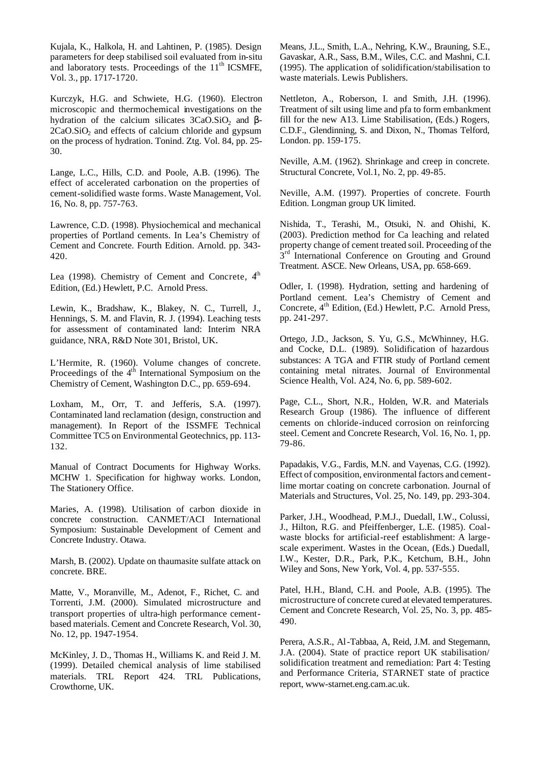Kujala, K., Halkola, H. and Lahtinen, P. (1985). Design parameters for deep stabilised soil evaluated from in-situ and laboratory tests. Proceedings of the  $11<sup>th</sup>$  ICSMFE, Vol. 3., pp. 1717-1720.

Kurczyk, H.G. and Schwiete, H.G. (1960). Electron microscopic and thermochemical investigations on the hydration of the calcium silicates  $3CaO.SiO<sub>2</sub>$  and β-2CaO.SiO<sub>2</sub> and effects of calcium chloride and gypsum on the process of hydration. Tonind. Ztg. Vol. 84, pp. 25- 30.

Lange, L.C., Hills, C.D. and Poole, A.B. (1996). The effect of accelerated carbonation on the properties of cement-solidified waste forms. Waste Management, Vol. 16, No. 8, pp. 757-763.

Lawrence, C.D. (1998). Physiochemical and mechanical properties of Portland cements. In Lea's Chemistry of Cement and Concrete. Fourth Edition. Arnold. pp. 343- 420.

Lea (1998). Chemistry of Cement and Concrete,  $4^{\text{th}}$ Edition, (Ed.) Hewlett, P.C. Arnold Press.

Lewin, K., Bradshaw, K., Blakey, N. C., Turrell, J., Hennings, S. M. and Flavin, R. J. (1994). Leaching tests for assessment of contaminated land: Interim NRA guidance, NRA, R&D Note 301, Bristol, UK.

L'Hermite, R. (1960). Volume changes of concrete. Proceedings of the  $4<sup>th</sup>$  International Symposium on the Chemistry of Cement, Washington D.C., pp. 659-694.

Loxham, M., Orr, T. and Jefferis, S.A. (1997). Contaminated land reclamation (design, construction and management). In Report of the ISSMFE Technical Committee TC5 on Environmental Geotechnics, pp. 113- 132.

Manual of Contract Documents for Highway Works. MCHW 1. Specification for highway works. London, The Stationery Office.

Maries, A. (1998). Utilisation of carbon dioxide in concrete construction. CANMET/ACI International Symposium: Sustainable Development of Cement and Concrete Industry. Otawa.

Marsh, B. (2002). Update on thaumasite sulfate attack on concrete. BRE.

Matte, V., Moranville, M., Adenot, F., Richet, C. and Torrenti, J.M. (2000). Simulated microstructure and transport properties of ultra-high performance cementbased materials. Cement and Concrete Research, Vol. 30, No. 12, pp. 1947-1954.

McKinley, J. D., Thomas H., Williams K. and Reid J. M. (1999). Detailed chemical analysis of lime stabilised materials. TRL Report 424. TRL Publications, Crowthorne, UK.

Means, J.L., Smith, L.A., Nehring, K.W., Brauning, S.E., Gavaskar, A.R., Sass, B.M., Wiles, C.C. and Mashni, C.I. (1995). The application of solidification/stabilisation to waste materials. Lewis Publishers.

Nettleton, A., Roberson, I. and Smith, J.H. (1996). Treatment of silt using lime and pfa to form embankment fill for the new A13. Lime Stabilisation, (Eds.) Rogers, C.D.F., Glendinning, S. and Dixon, N., Thomas Telford, London. pp. 159-175.

Neville, A.M. (1962). Shrinkage and creep in concrete. Structural Concrete, Vol.1, No. 2, pp. 49-85.

Neville, A.M. (1997). Properties of concrete. Fourth Edition. Longman group UK limited.

Nishida, T., Terashi, M., Otsuki, N. and Ohishi, K. (2003). Prediction method for Ca leaching and related property change of cement treated soil. Proceeding of the 3<sup>rd</sup> International Conference on Grouting and Ground Treatment. ASCE. New Orleans, USA, pp. 658-669.

Odler, I. (1998). Hydration, setting and hardening of Portland cement. Lea's Chemistry of Cement and Concrete, 4<sup>th</sup> Edition, (Ed.) Hewlett, P.C. Arnold Press, pp. 241-297.

Ortego, J.D., Jackson, S. Yu, G.S., McWhinney, H.G. and Cocke, D.L. (1989). Solidification of hazardous substances: A TGA and FTIR study of Portland cement containing metal nitrates. Journal of Environmental Science Health, Vol. A24, No. 6, pp. 589-602.

Page, C.L., Short, N.R., Holden, W.R. and Materials Research Group (1986). The influence of different cements on chloride-induced corrosion on reinforcing steel. Cement and Concrete Research, Vol. 16, No. 1, pp. 79-86.

Papadakis, V.G., Fardis, M.N. and Vayenas, C.G. (1992). Effect of composition, environmental factors and cementlime mortar coating on concrete carbonation. Journal of Materials and Structures, Vol. 25, No. 149, pp. 293-304.

Parker, J.H., Woodhead, P.M.J., Duedall, I.W., Colussi, J., Hilton, R.G. and Pfeiffenberger, L.E. (1985). Coalwaste blocks for artificial-reef establishment: A largescale experiment. Wastes in the Ocean, (Eds.) Duedall, I.W., Kester, D.R., Park, P.K., Ketchum, B.H., John Wiley and Sons, New York, Vol. 4, pp. 537-555.

Patel, H.H., Bland, C.H. and Poole, A.B. (1995). The microstructure of concrete cured at elevated temperatures. Cement and Concrete Research, Vol. 25, No. 3, pp. 485- 490.

Perera, A.S.R., Al-Tabbaa, A, Reid, J.M. and Stegemann, J.A. (2004). State of practice report UK stabilisation/ solidification treatment and remediation: Part 4: Testing and Performance Criteria, STARNET state of practice report, www-starnet.eng.cam.ac.uk.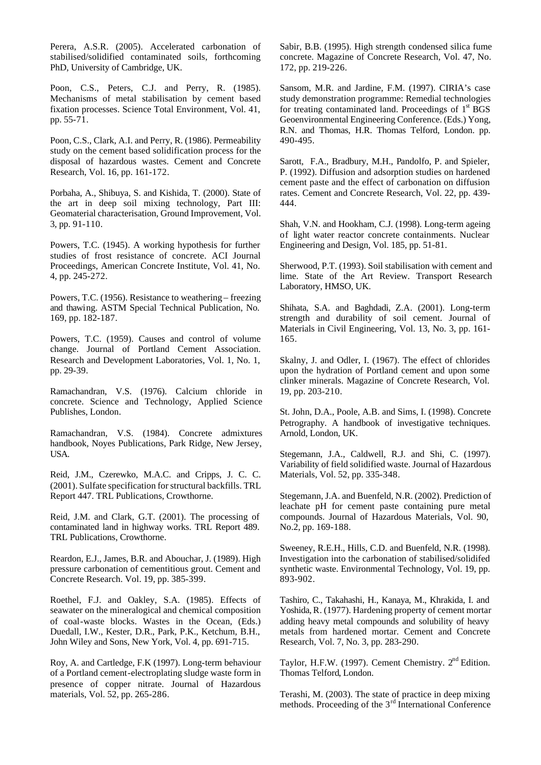Perera, A.S.R. (2005). Accelerated carbonation of stabilised/solidified contaminated soils, forthcoming PhD, University of Cambridge, UK.

Poon, C.S., Peters, C.J. and Perry, R. (1985). Mechanisms of metal stabilisation by cement based fixation processes. Science Total Environment, Vol. 41, pp. 55-71.

Poon, C.S., Clark, A.I. and Perry, R. (1986). Permeability study on the cement based solidification process for the disposal of hazardous wastes. Cement and Concrete Research, Vol. 16, pp. 161-172.

Porbaha, A., Shibuya, S. and Kishida, T. (2000). State of the art in deep soil mixing technology, Part III: Geomaterial characterisation, Ground Improvement, Vol. 3, pp. 91-110.

Powers, T.C. (1945). A working hypothesis for further studies of frost resistance of concrete. ACI Journal Proceedings, American Concrete Institute, Vol. 41, No. 4, pp. 245-272.

Powers, T.C. (1956). Resistance to weathering – freezing and thawing. ASTM Special Technical Publication, No. 169, pp. 182-187.

Powers, T.C. (1959). Causes and control of volume change. Journal of Portland Cement Association. Research and Development Laboratories, Vol. 1, No. 1, pp. 29-39.

Ramachandran, V.S. (1976). Calcium chloride in concrete. Science and Technology, Applied Science Publishes, London.

Ramachandran, V.S. (1984). Concrete admixtures handbook, Noyes Publications, Park Ridge, New Jersey, USA.

Reid, J.M., Czerewko, M.A.C. and Cripps, J. C. C. (2001). Sulfate specification for structural backfills. TRL Report 447. TRL Publications, Crowthorne.

Reid, J.M. and Clark, G.T. (2001). The processing of contaminated land in highway works. TRL Report 489. TRL Publications, Crowthorne.

Reardon, E.J., James, B.R. and Abouchar, J. (1989). High pressure carbonation of cementitious grout. Cement and Concrete Research. Vol. 19, pp. 385-399.

Roethel, F.J. and Oakley, S.A. (1985). Effects of seawater on the mineralogical and chemical composition of coal-waste blocks. Wastes in the Ocean, (Eds.) Duedall, I.W., Kester, D.R., Park, P.K., Ketchum, B.H., John Wiley and Sons, New York, Vol. 4, pp. 691-715.

Roy, A. and Cartledge, F.K (1997). Long-term behaviour of a Portland cement-electroplating sludge waste form in presence of copper nitrate. Journal of Hazardous materials, Vol. 52, pp. 265-286.

Sabir, B.B. (1995). High strength condensed silica fume concrete. Magazine of Concrete Research, Vol. 47, No. 172, pp. 219-226.

Sansom, M.R. and Jardine, F.M. (1997). CIRIA's case study demonstration programme: Remedial technologies for treating contaminated land. Proceedings of  $1<sup>st</sup> BGS$ Geoenvironmental Engineering Conference. (Eds.) Yong, R.N. and Thomas, H.R. Thomas Telford, London. pp. 490-495.

Sarott, F.A., Bradbury, M.H., Pandolfo, P. and Spieler, P. (1992). Diffusion and adsorption studies on hardened cement paste and the effect of carbonation on diffusion rates. Cement and Concrete Research, Vol. 22, pp. 439- 444.

Shah, V.N. and Hookham, C.J. (1998). Long-term ageing of light water reactor concrete containments. Nuclear Engineering and Design, Vol. 185, pp. 51-81.

Sherwood, P.T. (1993). Soil stabilisation with cement and lime. State of the Art Review. Transport Research Laboratory, HMSO, UK.

Shihata, S.A. and Baghdadi, Z.A. (2001). Long-term strength and durability of soil cement. Journal of Materials in Civil Engineering, Vol. 13, No. 3, pp. 161- 165.

Skalny, J. and Odler, I. (1967). The effect of chlorides upon the hydration of Portland cement and upon some clinker minerals. Magazine of Concrete Research, Vol. 19, pp. 203-210.

St. John, D.A., Poole, A.B. and Sims, I. (1998). Concrete Petrography. A handbook of investigative techniques. Arnold, London, UK.

Stegemann, J.A., Caldwell, R.J. and Shi, C. (1997). Variability of field solidified waste. Journal of Hazardous Materials, Vol. 52, pp. 335-348.

Stegemann, J.A. and Buenfeld, N.R. (2002). Prediction of leachate pH for cement paste containing pure metal compounds. Journal of Hazardous Materials, Vol. 90, No.2, pp. 169-188.

Sweeney, R.E.H., Hills, C.D. and Buenfeld, N.R. (1998). Investigation into the carbonation of stabilised/solidifed synthetic waste. Environmental Technology, Vol. 19, pp. 893-902.

Tashiro, C., Takahashi, H., Kanaya, M., Khrakida, I. and Yoshida, R. (1977). Hardening property of cement mortar adding heavy metal compounds and solubility of heavy metals from hardened mortar. Cement and Concrete Research, Vol. 7, No. 3, pp. 283-290.

Taylor, H.F.W. (1997). Cement Chemistry.  $2<sup>nd</sup>$  Edition. Thomas Telford, London.

Terashi, M. (2003). The state of practice in deep mixing methods. Proceeding of the 3rd International Conference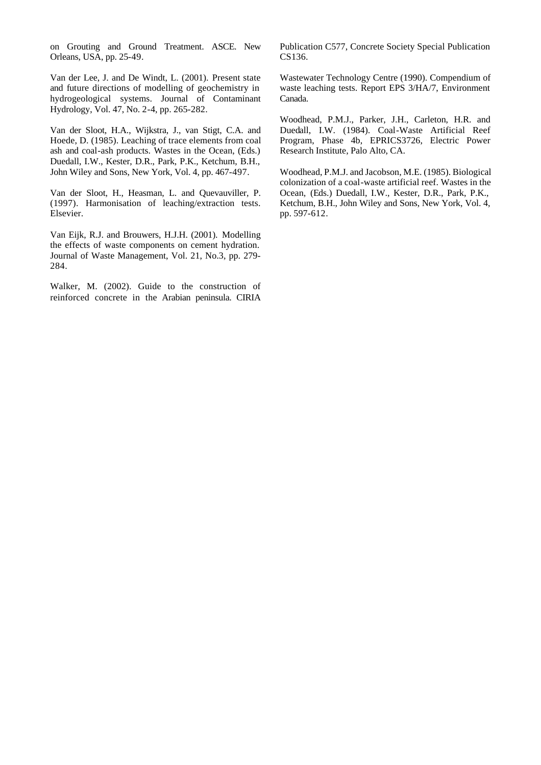on Grouting and Ground Treatment. ASCE. New Orleans, USA, pp. 25-49.

Van der Lee, J. and De Windt, L. (2001). Present state and future directions of modelling of geochemistry in hydrogeological systems. Journal of Contaminant Hydrology, Vol. 47, No. 2-4, pp. 265-282.

Van der Sloot, H.A., Wijkstra, J., van Stigt, C.A. and Hoede, D. (1985). Leaching of trace elements from coal ash and coal-ash products. Wastes in the Ocean, (Eds.) Duedall, I.W., Kester, D.R., Park, P.K., Ketchum, B.H., John Wiley and Sons, New York, Vol. 4, pp. 467-497.

Van der Sloot, H., Heasman, L. and Quevauviller, P. (1997). Harmonisation of leaching/extraction tests. Elsevier.

Van Eijk, R.J. and Brouwers, H.J.H. (2001). Modelling the effects of waste components on cement hydration. Journal of Waste Management, Vol. 21, No.3, pp. 279- 284.

Walker, M. (2002). Guide to the construction of reinforced concrete in the Arabian peninsula. CIRIA

Publication C577, Concrete Society Special Publication CS136.

Wastewater Technology Centre (1990). Compendium of waste leaching tests. Report EPS 3/HA/7, Environment Canada.

Woodhead, P.M.J., Parker, J.H., Carleton, H.R. and Duedall, I.W. (1984). Coal-Waste Artificial Reef Program, Phase 4b, EPRICS3726, Electric Power Research Institute, Palo Alto, CA.

Woodhead, P.M.J. and Jacobson, M.E. (1985). Biological colonization of a coal-waste artificial reef. Wastes in the Ocean, (Eds.) Duedall, I.W., Kester, D.R., Park, P.K., Ketchum, B.H., John Wiley and Sons, New York, Vol. 4, pp. 597-612.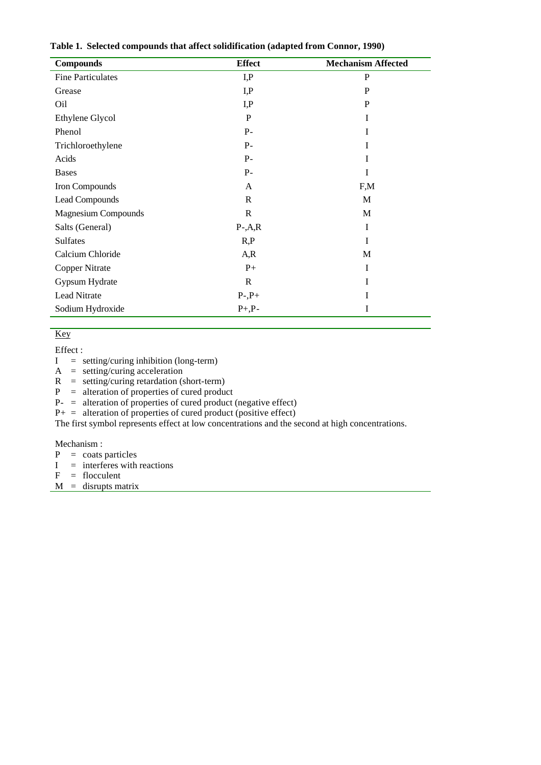|  |  | Table 1. Selected compounds that affect solidification (adapted from Connor, 1990) |  |
|--|--|------------------------------------------------------------------------------------|--|
|  |  |                                                                                    |  |

| <b>Compounds</b>           | <b>Effect</b> | <b>Mechanism Affected</b> |
|----------------------------|---------------|---------------------------|
| <b>Fine Particulates</b>   | I, P          | P                         |
| Grease                     | I, P          | P                         |
| Oil                        | I, P          | P                         |
| Ethylene Glycol            | $\mathbf P$   | I                         |
| Phenol                     | P-            | I                         |
| Trichloroethylene          | $P-$          | Ι                         |
| Acids                      | $P-$          | I                         |
| <b>Bases</b>               | $P-$          | I                         |
| Iron Compounds             | A             | F,M                       |
| Lead Compounds             | R             | M                         |
| <b>Magnesium Compounds</b> | R             | M                         |
| Salts (General)            | $P-A,R$       | I                         |
| <b>Sulfates</b>            | R, P          | I                         |
| Calcium Chloride           | A, R          | M                         |
| <b>Copper Nitrate</b>      | $P+$          | Ι                         |
| Gypsum Hydrate             | $\mathbb{R}$  | I                         |
| Lead Nitrate               | $P-, P+$      | I                         |
| Sodium Hydroxide           | $P+, P-$      | Ι                         |

Key

Effect :

I = setting/curing inhibition (long-term)

 $A = setting/curing acceleration$ 

R = setting/curing retardation (short-term)

 $P =$  alteration of properties of cured product

P- = alteration of properties of cured product (negative effect)

 $P_+$  = alteration of properties of cured product (positive effect)

The first symbol represents effect at low concentrations and the second at high concentrations.

Mechanism :

 $P = \text{coats particles}$ 

- $I =$  interferes with reactions
- $F = flocculent$

 $M =$  disrupts matrix